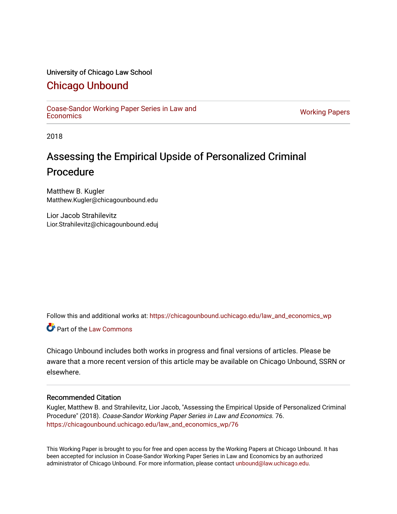# University of Chicago Law School

# [Chicago Unbound](https://chicagounbound.uchicago.edu/)

[Coase-Sandor Working Paper Series in Law and](https://chicagounbound.uchicago.edu/law_and_economics_wp) [Economics](https://chicagounbound.uchicago.edu/law_and_economics_wp) [Working Papers](https://chicagounbound.uchicago.edu/working_papers) 

2018

# Assessing the Empirical Upside of Personalized Criminal Procedure

Matthew B. Kugler Matthew.Kugler@chicagounbound.edu

Lior Jacob Strahilevitz Lior.Strahilevitz@chicagounbound.eduj

Follow this and additional works at: [https://chicagounbound.uchicago.edu/law\\_and\\_economics\\_wp](https://chicagounbound.uchicago.edu/law_and_economics_wp?utm_source=chicagounbound.uchicago.edu%2Flaw_and_economics_wp%2F76&utm_medium=PDF&utm_campaign=PDFCoverPages) 

**C** Part of the [Law Commons](http://network.bepress.com/hgg/discipline/578?utm_source=chicagounbound.uchicago.edu%2Flaw_and_economics_wp%2F76&utm_medium=PDF&utm_campaign=PDFCoverPages)

Chicago Unbound includes both works in progress and final versions of articles. Please be aware that a more recent version of this article may be available on Chicago Unbound, SSRN or elsewhere.

# Recommended Citation

Kugler, Matthew B. and Strahilevitz, Lior Jacob, "Assessing the Empirical Upside of Personalized Criminal Procedure" (2018). Coase-Sandor Working Paper Series in Law and Economics. 76. [https://chicagounbound.uchicago.edu/law\\_and\\_economics\\_wp/76](https://chicagounbound.uchicago.edu/law_and_economics_wp/76?utm_source=chicagounbound.uchicago.edu%2Flaw_and_economics_wp%2F76&utm_medium=PDF&utm_campaign=PDFCoverPages) 

This Working Paper is brought to you for free and open access by the Working Papers at Chicago Unbound. It has been accepted for inclusion in Coase-Sandor Working Paper Series in Law and Economics by an authorized administrator of Chicago Unbound. For more information, please contact [unbound@law.uchicago.edu](mailto:unbound@law.uchicago.edu).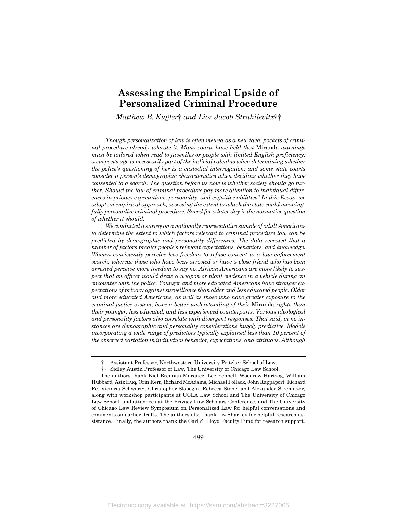# **Assessing the Empirical Upside of Personalized Criminal Procedure**

*Matthew B. Kugler*† *and Lior Jacob Strahilevitz*††

*Though personalization of law is often viewed as a new idea, pockets of criminal procedure already tolerate it. Many courts have held that* Miranda *warnings must be tailored when read to juveniles or people with limited English proficiency; a suspect's age is necessarily part of the judicial calculus when determining whether the police's questioning of her is a custodial interrogation; and some state courts consider a person's demographic characteristics when deciding whether they have consented to a search. The question before us now is whether society should go further. Should the law of criminal procedure pay more attention to individual differences in privacy expectations, personality, and cognitive abilities? In this Essay, we adopt an empirical approach, assessing the extent to which the state could meaningfully personalize criminal procedure. Saved for a later day is the normative question of whether it should.*

*We conducted a survey on a nationally representative sample of adult Americans to determine the extent to which factors relevant to criminal procedure law can be predicted by demographic and personality differences. The data revealed that a number of factors predict people's relevant expectations, behaviors, and knowledge. Women consistently perceive less freedom to refuse consent to a law enforcement search, whereas those who have been arrested or have a close friend who has been arrested perceive more freedom to say no. African Americans are more likely to suspect that an officer would draw a weapon or plant evidence in a vehicle during an encounter with the police. Younger and more educated Americans have stronger expectations of privacy against surveillance than older and less educated people. Older and more educated Americans, as well as those who have greater exposure to the criminal justice system, have a better understanding of their* Miranda *rights than their younger, less educated, and less experienced counterparts. Various ideological and personality factors also correlate with divergent responses. That said, in no instances are demographic and personality considerations hugely predictive. Models incorporating a wide range of predictors typically explained less than 10 percent of the observed variation in individual behavior, expectations, and attitudes. Although* 

<sup>†</sup> Assistant Professor, Northwestern University Pritzker School of Law.

<sup>††</sup> Sidley Austin Professor of Law, The University of Chicago Law School.

The authors thank Kiel Brennan-Marquez, Lee Fennell, Woodrow Hartzog, William Hubbard, Aziz Huq, Orin Kerr, Richard McAdams, Michael Pollack, John Rappaport, Richard Re, Victoria Schwartz, Christopher Slobogin, Rebecca Stone, and Alexander Stremitzer, along with workshop participants at UCLA Law School and The University of Chicago Law School, and attendees at the Privacy Law Scholars Conference, and The University of Chicago Law Review Symposium on Personalized Law for helpful conversations and comments on earlier drafts. The authors also thank Liz Sharkey for helpful research assistance. Finally, the authors thank the Carl S. Lloyd Faculty Fund for research support.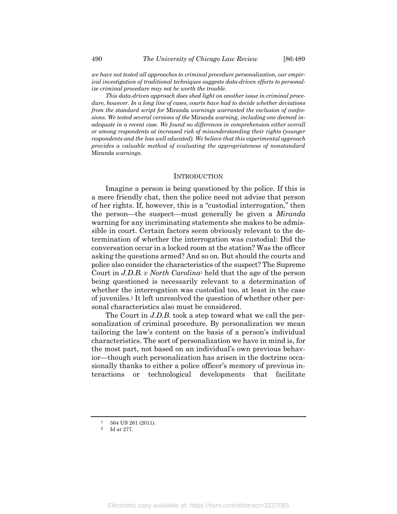*we have not tested all approaches to criminal procedure personalization, our empirical investigation of traditional techniques suggests data-driven efforts to personalize criminal procedure may not be worth the trouble.*

*This data-driven approach does shed light on another issue in criminal procedure, however. In a long line of cases, courts have had to decide whether deviations from the standard script for* Miranda *warnings warranted the exclusion of confessions. We tested several versions of the* Miranda *warning, including one deemed inadequate in a recent case. We found no differences in comprehension either overall or among respondents at increased risk of misunderstanding their rights (younger respondents and the less well educated). We believe that this experimental approach provides a valuable method of evaluating the appropriateness of nonstandard*  Miranda *warnings.*

#### **INTRODUCTION**

Imagine a person is being questioned by the police. If this is a mere friendly chat, then the police need not advise that person of her rights. If, however, this is a "custodial interrogation," then the person—the suspect—must generally be given a *Miranda* warning for any incriminating statements she makes to be admissible in court. Certain factors seem obviously relevant to the determination of whether the interrogation was custodial: Did the conversation occur in a locked room at the station? Was the officer asking the questions armed? And so on. But should the courts and police also consider the characteristics of the suspect? The Supreme Court in *J.D.B. v North Carolina*<sup>1</sup> held that the age of the person being questioned is necessarily relevant to a determination of whether the interrogation was custodial too, at least in the case of juveniles.<sup>2</sup> It left unresolved the question of whether other personal characteristics also must be considered.

The Court in *J.D.B.* took a step toward what we call the personalization of criminal procedure. By personalization we mean tailoring the law's content on the basis of a person's individual characteristics. The sort of personalization we have in mind is, for the most part, not based on an individual's own previous behavior—though such personalization has arisen in the doctrine occasionally thanks to either a police officer's memory of previous interactions or technological developments that facilitate

 $\frac{1}{2}$  564 US 261 (2011).

Id at 277.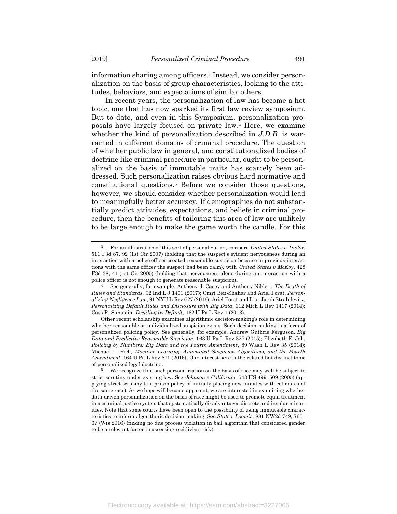information sharing among officers.<sup>3</sup> Instead, we consider personalization on the basis of group characteristics, looking to the attitudes, behaviors, and expectations of similar others.

In recent years, the personalization of law has become a hot topic, one that has now sparked its first law review symposium. But to date, and even in this Symposium, personalization proposals have largely focused on private law.<sup>4</sup> Here, we examine whether the kind of personalization described in *J.D.B.* is warranted in different domains of criminal procedure. The question of whether public law in general, and constitutionalized bodies of doctrine like criminal procedure in particular, ought to be personalized on the basis of immutable traits has scarcely been addressed. Such personalization raises obvious hard normative and constitutional questions.<sup>5</sup> Before we consider those questions, however, we should consider whether personalization would lead to meaningfully better accuracy. If demographics do not substantially predict attitudes, expectations, and beliefs in criminal procedure, then the benefits of tailoring this area of law are unlikely to be large enough to make the game worth the candle. For this

<sup>3</sup> For an illustration of this sort of personalization, compare *United States v Taylor*, 511 F3d 87, 92 (1st Cir 2007) (holding that the suspect's evident nervousness during an interaction with a police officer created reasonable suspicion because in previous interactions with the same officer the suspect had been calm), with *United States v McKoy*, 428 F3d 38, 41 (1st Cir 2005) (holding that nervousness alone during an interaction with a police officer is not enough to generate reasonable suspicion).

<sup>4</sup> See generally, for example, Anthony J. Casey and Anthony Niblett, *The Death of Rules and Standards*, 92 Ind L J 1401 (2017); Omri Ben-Shahar and Ariel Porat, *Personalizing Negligence Law*, 91 NYU L Rev 627 (2016); Ariel Porat and Lior Jacob Strahilevitz, *Personalizing Default Rules and Disclosure with Big Data*, 112 Mich L Rev 1417 (2014); Cass R. Sunstein, *Deciding by Default*, 162 U Pa L Rev 1 (2013).

Other recent scholarship examines algorithmic decision-making's role in determining whether reasonable or individualized suspicion exists. Such decision-making is a form of personalized policing policy. See generally, for example, Andrew Guthrie Ferguson, *Big Data and Predictive Reasonable Suspicion*, 163 U Pa L Rev 327 (2015); Elizabeth E. Joh, *Policing by Numbers: Big Data and the Fourth Amendment*, 89 Wash L Rev 35 (2014); Michael L. Rich, *Machine Learning, Automated Suspicion Algorithms, and the Fourth Amendment*, 164 U Pa L Rev 871 (2016). Our interest here is the related but distinct topic of personalized legal doctrine.

<sup>5</sup> We recognize that such personalization on the basis of race may well be subject to strict scrutiny under existing law. See *Johnson v California*, 543 US 499, 509 (2005) (applying strict scrutiny to a prison policy of initially placing new inmates with cellmates of the same race). As we hope will become apparent, we are interested in examining whether data-driven personalization on the basis of race might be used to promote equal treatment in a criminal justice system that systematically disadvantages discrete and insular minorities. Note that some courts have been open to the possibility of using immutable characteristics to inform algorithmic decision-making. See *State v Loomis*, 881 NW2d 749, 765– 67 (Wis 2016) (finding no due process violation in bail algorithm that considered gender to be a relevant factor in assessing recidivism risk).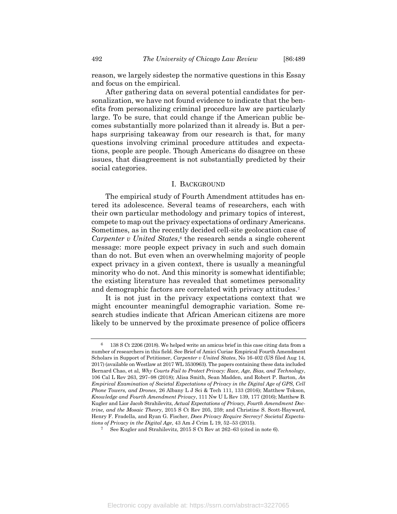reason, we largely sidestep the normative questions in this Essay and focus on the empirical.

After gathering data on several potential candidates for personalization, we have not found evidence to indicate that the benefits from personalizing criminal procedure law are particularly large. To be sure, that could change if the American public becomes substantially more polarized than it already is. But a perhaps surprising takeaway from our research is that, for many questions involving criminal procedure attitudes and expectations, people are people. Though Americans do disagree on these issues, that disagreement is not substantially predicted by their social categories.

#### I. BACKGROUND

The empirical study of Fourth Amendment attitudes has entered its adolescence. Several teams of researchers, each with their own particular methodology and primary topics of interest, compete to map out the privacy expectations of ordinary Americans. Sometimes, as in the recently decided cell-site geolocation case of *Carpenter v United States*, <sup>6</sup> the research sends a single coherent message: more people expect privacy in such and such domain than do not. But even when an overwhelming majority of people expect privacy in a given context, there is usually a meaningful minority who do not. And this minority is somewhat identifiable; the existing literature has revealed that sometimes personality and demographic factors are correlated with privacy attitudes.<sup>7</sup>

It is not just in the privacy expectations context that we might encounter meaningful demographic variation. Some research studies indicate that African American citizens are more likely to be unnerved by the proximate presence of police officers

 $6$  138 S Ct 2206 (2018). We helped write an amicus brief in this case citing data from a number of researchers in this field. See Brief of Amici Curiae Empirical Fourth Amendment Scholars in Support of Petitioner, *Carpenter v United States*, No 16-402 (US filed Aug 14, 2017) (available on Westlaw at 2017 WL 3530963). The papers containing these data included Bernard Chao, et al, *Why Courts Fail to Protect Privacy: Race, Age, Bias, and Technology*, 106 Cal L Rev 263, 297–98 (2018); Alisa Smith, Sean Madden, and Robert P. Barton, *An Empirical Examination of Societal Expectations of Privacy in the Digital Age of GPS, Cell Phone Towers, and Drones*, 26 Albany L J Sci & Tech 111, 133 (2016); Matthew Tokson, *Knowledge and Fourth Amendment Privacy*, 111 Nw U L Rev 139, 177 (2016); Matthew B. Kugler and Lior Jacob Strahilevitz, *Actual Expectations of Privacy, Fourth Amendment Doctrine, and the Mosaic Theory*, 2015 S Ct Rev 205, 259; and Christine S. Scott-Hayward, Henry F. Fradella, and Ryan G. Fischer, *Does Privacy Require Secrecy? Societal Expectations of Privacy in the Digital Age*, 43 Am J Crim L 19, 52–53 (2015).

See Kugler and Strahilevitz, 2015 S Ct Rev at 262–63 (cited in note 6).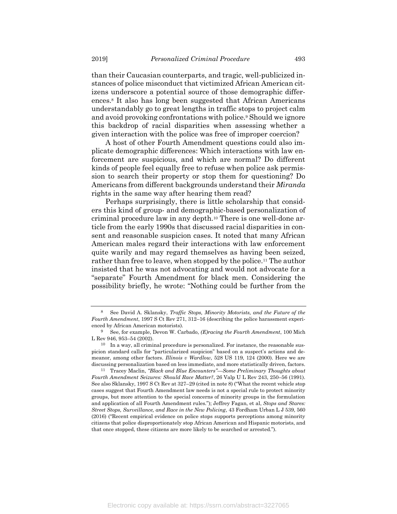than their Caucasian counterparts, and tragic, well-publicized instances of police misconduct that victimized African American citizens underscore a potential source of those demographic differences.<sup>8</sup> It also has long been suggested that African Americans understandably go to great lengths in traffic stops to project calm and avoid provoking confrontations with police.<sup>9</sup> Should we ignore this backdrop of racial disparities when assessing whether a given interaction with the police was free of improper coercion?

A host of other Fourth Amendment questions could also implicate demographic differences: Which interactions with law enforcement are suspicious, and which are normal? Do different kinds of people feel equally free to refuse when police ask permission to search their property or stop them for questioning? Do Americans from different backgrounds understand their *Miranda* rights in the same way after hearing them read?

Perhaps surprisingly, there is little scholarship that considers this kind of group- and demographic-based personalization of criminal procedure law in any depth.<sup>10</sup> There is one well-done article from the early 1990s that discussed racial disparities in consent and reasonable suspicion cases. It noted that many African American males regard their interactions with law enforcement quite warily and may regard themselves as having been seized, rather than free to leave, when stopped by the police.<sup>11</sup> The author insisted that he was not advocating and would not advocate for a "separate" Fourth Amendment for black men. Considering the possibility briefly, he wrote: "Nothing could be further from the

<sup>8</sup> See David A. Sklansky, *Traffic Stops, Minority Motorists, and the Future of the Fourth Amendment*, 1997 S Ct Rev 271, 312–16 (describing the police harassment experienced by African American motorists).

<sup>9</sup> See, for example, Devon W. Carbado, *(E)racing the Fourth Amendment*, 100 Mich L Rev 946, 953–54 (2002).

 $^{10}\;$  In a way, all criminal procedure is personalized. For instance, the reasonable suspicion standard calls for "particularized suspicion" based on a suspect's actions and demeanor, among other factors. *Illinois v Wardlow*, 528 US 119, 124 (2000). Here we are discussing personalization based on less immediate, and more statistically driven, factors.

<sup>11</sup> Tracey Maclin, *"Black and Blue Encounters"—Some Preliminary Thoughts about Fourth Amendment Seizures: Should Race Matter?*, 26 Valp U L Rev 243, 250–56 (1991). See also Sklansky, 1997 S Ct Rev at 327–29 (cited in note 8) ("What the recent vehicle stop cases suggest that Fourth Amendment law needs is not a special rule to protect minority groups, but more attention to the special concerns of minority groups in the formulation and application of all Fourth Amendment rules."); Jeffrey Fagan, et al, *Stops and Stares: Street Stops, Surveillance, and Race in the New Policing*, 43 Fordham Urban L J 539, 560 (2016) ("Recent empirical evidence on police stops supports perceptions among minority citizens that police disproportionately stop African American and Hispanic motorists, and that once stopped, these citizens are more likely to be searched or arrested.").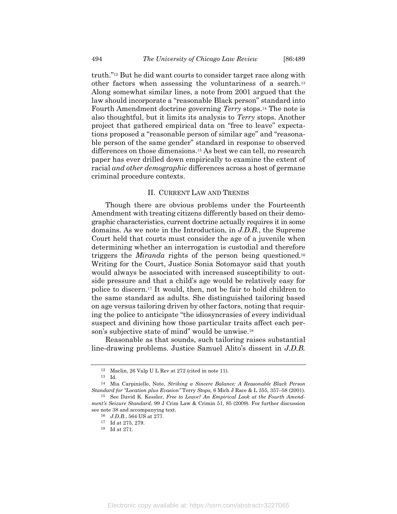truth."<sup>12</sup> But he did want courts to consider target race along with other factors when assessing the voluntariness of a search.<sup>13</sup> Along somewhat similar lines, a note from 2001 argued that the law should incorporate a "reasonable Black person" standard into Fourth Amendment doctrine governing *Terry* stops.<sup>14</sup> The note is also thoughtful, but it limits its analysis to *Terry* stops. Another project that gathered empirical data on "free to leave" expectations proposed a "reasonable person of similar age" and "reasonable person of the same gender" standard in response to observed differences on those dimensions.<sup>15</sup> As best we can tell, no research paper has ever drilled down empirically to examine the extent of racial *and other demographic* differences across a host of germane criminal procedure contexts.

### II. CURRENT LAW AND TRENDS

Though there are obvious problems under the Fourteenth Amendment with treating citizens differently based on their demographic characteristics, current doctrine actually requires it in some domains. As we note in the Introduction, in *J.D.B.*, the Supreme Court held that courts must consider the age of a juvenile when determining whether an interrogation is custodial and therefore triggers the *Miranda* rights of the person being questioned.<sup>16</sup> Writing for the Court, Justice Sonia Sotomayor said that youth would always be associated with increased susceptibility to outside pressure and that a child's age would be relatively easy for police to discern.<sup>17</sup> It would, then, not be fair to hold children to the same standard as adults. She distinguished tailoring based on age versus tailoring driven by other factors, noting that requiring the police to anticipate "the idiosyncrasies of every individual suspect and divining how those particular traits affect each person's subjective state of mind" would be unwise.<sup>18</sup>

Reasonable as that sounds, such tailoring raises substantial line-drawing problems. Justice Samuel Alito's dissent in *J.D.B.*

Electronic copy available at: https://ssrn.com/abstract=3227065

<sup>12</sup> Maclin, 26 Valp U L Rev at 272 (cited in note 11).

<sup>13</sup> Id.

<sup>14</sup> Mia Carpiniello, Note, *Striking a Sincere Balance: A Reasonable Black Person Standard for "Location plus Evasion"* Terry *Stops*, 6 Mich J Race & L 355, 357–58 (2001). 15 See David K. Kessler, *Free to Leave? An Empirical Look at the Fourth Amend-*

*ment's Seizure Standard*, 99 J Crim Law & Crimin 51, 85 (2009). For further discussion see note 38 and accompanying text.

<sup>16</sup> *J.D.B.*, 564 US at 277.

 $^{17} \,$  Id at 275, 279.

<sup>18</sup> Id at 271.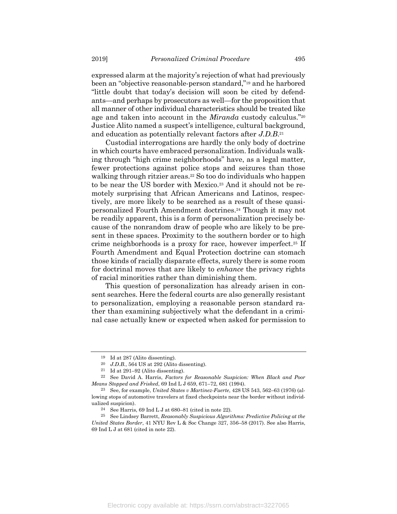expressed alarm at the majority's rejection of what had previously been an "objective reasonable-person standard,"<sup>19</sup> and he harbored "little doubt that today's decision will soon be cited by defendants—and perhaps by prosecutors as well—for the proposition that all manner of other individual characteristics should be treated like age and taken into account in the *Miranda* custody calculus."<sup>20</sup> Justice Alito named a suspect's intelligence, cultural background, and education as potentially relevant factors after *J.D.B*. 21

Custodial interrogations are hardly the only body of doctrine in which courts have embraced personalization. Individuals walking through "high crime neighborhoods" have, as a legal matter, fewer protections against police stops and seizures than those walking through ritzier areas.<sup>22</sup> So too do individuals who happen to be near the US border with Mexico.<sup>23</sup> And it should not be remotely surprising that African Americans and Latinos, respectively, are more likely to be searched as a result of these quasipersonalized Fourth Amendment doctrines.<sup>24</sup> Though it may not be readily apparent, this is a form of personalization precisely because of the nonrandom draw of people who are likely to be present in these spaces. Proximity to the southern border or to high crime neighborhoods is a proxy for race, however imperfect.<sup>25</sup> If Fourth Amendment and Equal Protection doctrine can stomach those kinds of racially disparate effects, surely there is some room for doctrinal moves that are likely to *enhance* the privacy rights of racial minorities rather than diminishing them.

This question of personalization has already arisen in consent searches. Here the federal courts are also generally resistant to personalization, employing a reasonable person standard rather than examining subjectively what the defendant in a criminal case actually knew or expected when asked for permission to

<sup>19</sup> Id at 287 (Alito dissenting).

<sup>20</sup> *J.D.B.*, 564 US at 292 (Alito dissenting).

<sup>21</sup> Id at 291–92 (Alito dissenting).

<sup>22</sup> See David A. Harris, *Factors for Reasonable Suspicion: When Black and Poor Means Stopped and Frisked*, 69 Ind L J 659, 671–72, 681 (1994).

<sup>23</sup> See, for example, *United States v Martinez-Fuerte*, 428 US 543, 562–63 (1976) (allowing stops of automotive travelers at fixed checkpoints near the border without individualized suspicion).

<sup>&</sup>lt;sup>24</sup> See Harris, 69 Ind L J at  $680-81$  (cited in note 22).

<sup>25</sup> See Lindsey Barrett, *Reasonably Suspicious Algorithms: Predictive Policing at the United States Border*, 41 NYU Rev L & Soc Change 327, 356–58 (2017). See also Harris, 69 Ind L J at 681 (cited in note 22).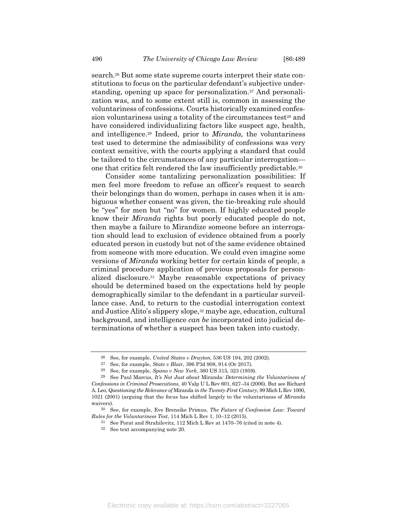search.<sup>26</sup> But some state supreme courts interpret their state constitutions to focus on the particular defendant's subjective understanding, opening up space for personalization.<sup>27</sup> And personalization was, and to some extent still is, common in assessing the voluntariness of confessions. Courts historically examined confession voluntariness using a totality of the circumstances test<sup>28</sup> and have considered individualizing factors like suspect age, health, and intelligence.<sup>29</sup> Indeed, prior to *Miranda*, the voluntariness test used to determine the admissibility of confessions was very context sensitive, with the courts applying a standard that could be tailored to the circumstances of any particular interrogation one that critics felt rendered the law insufficiently predictable.<sup>30</sup>

Consider some tantalizing personalization possibilities: If men feel more freedom to refuse an officer's request to search their belongings than do women, perhaps in cases when it is ambiguous whether consent was given, the tie-breaking rule should be "yes" for men but "no" for women. If highly educated people know their *Miranda* rights but poorly educated people do not, then maybe a failure to Mirandize someone before an interrogation should lead to exclusion of evidence obtained from a poorly educated person in custody but not of the same evidence obtained from someone with more education. We could even imagine some versions of *Miranda* working better for certain kinds of people, a criminal procedure application of previous proposals for personalized disclosure.<sup>31</sup> Maybe reasonable expectations of privacy should be determined based on the expectations held by people demographically similar to the defendant in a particular surveillance case. And, to return to the custodial interrogation context and Justice Alito's slippery slope,<sup>32</sup> maybe age, education, cultural background, and intelligence *can be* incorporated into judicial determinations of whether a suspect has been taken into custody.

<sup>26</sup> See, for example, *United States v Drayton*, 536 US 194, 202 (2002).

<sup>27</sup> See, for example, *State v Blair*, 396 P3d 908, 914 (Or 2017).

<sup>28</sup> See, for example, *Spano v New York*, 360 US 315, 323 (1959).

<sup>29</sup> See Paul Marcus, *It's Not Just about* Miranda*: Determining the Voluntariness of Confessions in Criminal Prosecutions*, 40 Valp U L Rev 601, 627–34 (2006). But see Richard A. Leo, *Questioning the Relevance of* Miranda *in the Twenty-First Century*, 99 Mich L Rev 1000, 1021 (2001) (arguing that the focus has shifted largely to the voluntariness of *Miranda* waivers).

<sup>30</sup> See, for example, Eve Brensike Primus, *The Future of Confession Law: Toward Rules for the Voluntariness Test*, 114 Mich L Rev 1, 10–12 (2015).

<sup>31</sup> See Porat and Strahilevitz, 112 Mich L Rev at 1470–76 (cited in note 4).

<sup>32</sup> See text accompanying note 20.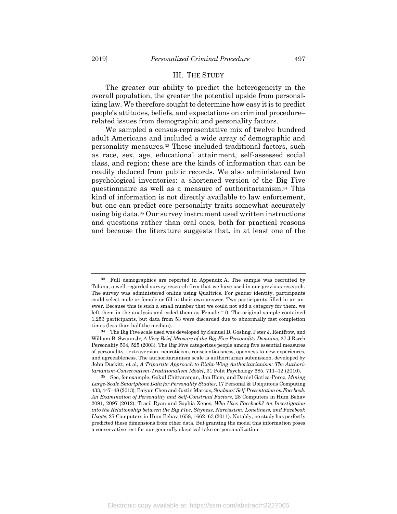### III. THE STUDY

The greater our ability to predict the heterogeneity in the overall population, the greater the potential upside from personalizing law. We therefore sought to determine how easy it is to predict people's attitudes, beliefs, and expectations on criminal procedure– related issues from demographic and personality factors.

We sampled a census-representative mix of twelve hundred adult Americans and included a wide array of demographic and personality measures.<sup>33</sup> These included traditional factors, such as race, sex, age, educational attainment, self-assessed social class, and region; these are the kinds of information that can be readily deduced from public records. We also administered two psychological inventories: a shortened version of the Big Five questionnaire as well as a measure of authoritarianism.<sup>34</sup> This kind of information is not directly available to law enforcement, but one can predict core personality traits somewhat accurately using big data.<sup>35</sup> Our survey instrument used written instructions and questions rather than oral ones, both for practical reasons and because the literature suggests that, in at least one of the

<sup>33</sup> Full demographics are reported in Appendix A. The sample was recruited by Toluna, a well-regarded survey research firm that we have used in our previous research. The survey was administered online using Qualtrics. For gender identity, participants could select male or female or fill in their own answer. Two participants filled in an answer. Because this is such a small number that we could not add a category for them, we left them in the analysis and coded them as Female = 0. The original sample contained 1,253 participants, but data from 53 were discarded due to abnormally fast completion times (less than half the median).

<sup>34</sup> The Big Five scale used was developed by Samuel D. Gosling, Peter J. Rentfrow, and William B. Swann Jr, *A Very Brief Measure of the Big-Five Personality Domains*, 37 J Rsrch Personality 504, 525 (2003). The Big Five categorizes people among five essential measures of personality—extraversion, neuroticism, conscientiousness, openness to new experiences, and agreeableness. The authoritarianism scale is authoritarian submission, developed by John Duckitt, et al, *A Tripartite Approach to Right-Wing Authoritarianism: The Authoritarianism-Conservatism-Traditionalism Model*, 31 Polit Psychology 685, 711–12 (2010).

<sup>35</sup> See, for example, Gokul Chittaranjan, Jan Blom, and Daniel Gatica-Perez, *Mining Large-Scale Smartphone Data for Personality Studies*, 17 Personal & Ubiquitous Computing 433, 447–48 (2013); Baiyun Chen and Justin Marcus, *Students' Self-Presentation on Facebook: An Examination of Personality and Self-Construal Factors*, 28 Computers in Hum Behav 2091, 2097 (2012); Tracii Ryan and Sophia Xenos, *Who Uses Facebook? An Investigation into the Relationship between the Big Five, Shyness, Narcissism, Loneliness, and Facebook Usage*, 27 Computers in Hum Behav 1658, 1662–63 (2011). Notably, no study has perfectly predicted these dimensions from other data. But granting the model this information poses a conservative test for our generally skeptical take on personalization.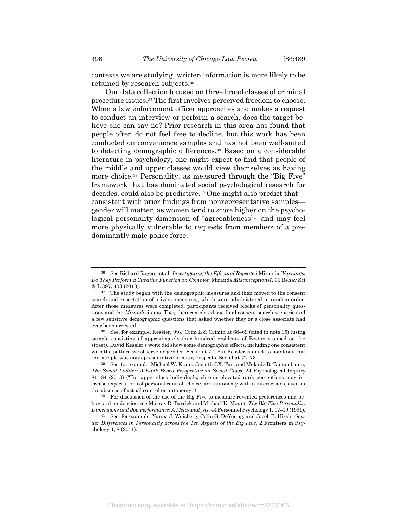contexts we are studying, written information is more likely to be retained by research subjects.<sup>36</sup>

Our data collection focused on three broad classes of criminal procedure issues.<sup>37</sup> The first involves perceived freedom to choose. When a law enforcement officer approaches and makes a request to conduct an interview or perform a search, does the target believe she can say no? Prior research in this area has found that people often do not feel free to decline, but this work has been conducted on convenience samples and has not been well-suited to detecting demographic differences.<sup>38</sup> Based on a considerable literature in psychology, one might expect to find that people of the middle and upper classes would view themselves as having more choice.<sup>39</sup> Personality, as measured through the "Big Five" framework that has dominated social psychological research for decades, could also be predictive.<sup>40</sup> One might also predict that consistent with prior findings from nonrepresentative samples gender will matter, as women tend to score higher on the psychological personality dimension of "agreeableness"<sup>41</sup> and may feel more physically vulnerable to requests from members of a predominantly male police force.

<sup>36</sup> See Richard Rogers, et al, *Investigating the Effects of Repeated* Miranda *Warnings: Do They Perform a Curative Function on Common* Miranda *Misconceptions?*, 31 Behav Sci & L 397, 403 (2013).

 $37$  The study began with the demographic measures and then moved to the consent search and expectation of privacy measures, which were administered in random order. After those measures were completed, participants received blocks of personality questions and the *Miranda* items. They then completed one final consent search scenario and a few sensitive demographic questions that asked whether they or a close associate had ever been arrested.

<sup>38</sup> See, for example, Kessler, 99 J Crim L & Crimin at 68–69 (cited in note 15) (using sample consisting of approximately four hundred residents of Boston stopped on the street). David Kessler's work did show some demographic effects, including one consistent with the pattern we observe on gender. See id at 77. But Kessler is quick to point out that the sample was nonrepresentative in many respects. See id at 72–73.

<sup>39</sup> See, for example, Michael W. Kraus, Jacinth J.X. Tan, and Melanie B. Tannenbaum, *The Social Ladder: A Rank-Based Perspective on Social Class*, 24 Psychological Inquiry 81, 84 (2013) ("For upper-class individuals, chronic elevated rank perceptions may increase expectations of personal control, choice, and autonomy within interactions, even in the absence of actual control or autonomy.").

<sup>40</sup> For discussion of the use of the Big Five to measure revealed preferences and behavioral tendencies, see Murray R. Barrick and Michael K. Mount, *The Big Five Personality Dimensions and Job Performance: A Meta-analysis*, 44 Personnel Psychology 1, 17–19 (1991).

<sup>41</sup> See, for example, Yanna J. Weisberg, Colin G. DeYoung, and Jacob B. Hirsh, *Gender Differences in Personality across the Ten Aspects of the Big Five*, 2 Frontiers in Psychology 1, 8 (2011).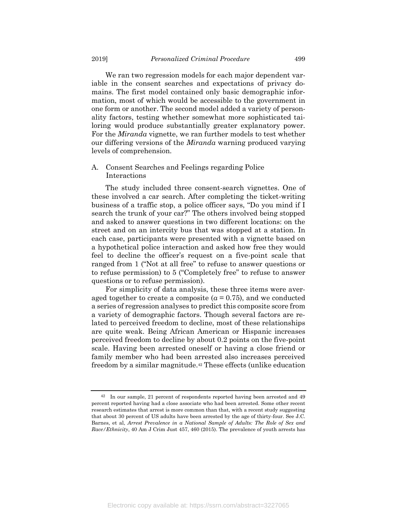We ran two regression models for each major dependent variable in the consent searches and expectations of privacy domains. The first model contained only basic demographic information, most of which would be accessible to the government in one form or another. The second model added a variety of personality factors, testing whether somewhat more sophisticated tailoring would produce substantially greater explanatory power. For the *Miranda* vignette, we ran further models to test whether our differing versions of the *Miranda* warning produced varying levels of comprehension.

# A. Consent Searches and Feelings regarding Police Interactions

The study included three consent-search vignettes. One of these involved a car search. After completing the ticket-writing business of a traffic stop, a police officer says, "Do you mind if I search the trunk of your car?" The others involved being stopped and asked to answer questions in two different locations: on the street and on an intercity bus that was stopped at a station. In each case, participants were presented with a vignette based on a hypothetical police interaction and asked how free they would feel to decline the officer's request on a five-point scale that ranged from 1 ("Not at all free" to refuse to answer questions or to refuse permission) to 5 ("Completely free" to refuse to answer questions or to refuse permission).

For simplicity of data analysis, these three items were averaged together to create a composite  $(a = 0.75)$ , and we conducted a series of regression analyses to predict this composite score from a variety of demographic factors. Though several factors are related to perceived freedom to decline, most of these relationships are quite weak. Being African American or Hispanic increases perceived freedom to decline by about 0.2 points on the five-point scale. Having been arrested oneself or having a close friend or family member who had been arrested also increases perceived freedom by a similar magnitude.<sup>42</sup> These effects (unlike education

<sup>42</sup> In our sample, 21 percent of respondents reported having been arrested and 49 percent reported having had a close associate who had been arrested. Some other recent research estimates that arrest is more common than that, with a recent study suggesting that about 30 percent of US adults have been arrested by the age of thirty-four. See J.C. Barnes, et al, *Arrest Prevalence in a National Sample of Adults: The Role of Sex and Race/Ethnicity*, 40 Am J Crim Just 457, 460 (2015). The prevalence of youth arrests has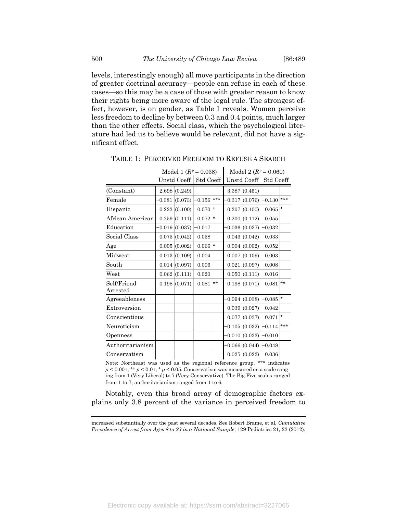levels, interestingly enough) all move participants in the direction of greater doctrinal accuracy—people can refuse in each of these cases—so this may be a case of those with greater reason to know their rights being more aware of the legal rule. The strongest effect, however, is on gender, as Table 1 reveals. Women perceive less freedom to decline by between 0.3 and 0.4 points, much larger than the other effects. Social class, which the psychological literature had led us to believe would be relevant, did not have a significant effect.

|  |                                                                                                                                                                                                   |         |           |           | Std Coeff                                                                                                                                                                                                                                                                                                                        |     |
|--|---------------------------------------------------------------------------------------------------------------------------------------------------------------------------------------------------|---------|-----------|-----------|----------------------------------------------------------------------------------------------------------------------------------------------------------------------------------------------------------------------------------------------------------------------------------------------------------------------------------|-----|
|  |                                                                                                                                                                                                   |         |           |           |                                                                                                                                                                                                                                                                                                                                  |     |
|  | $-0.156$                                                                                                                                                                                          | ***     |           |           | $-0.130$                                                                                                                                                                                                                                                                                                                         | *** |
|  | 0.070                                                                                                                                                                                             | *       |           |           | $0.065$ *                                                                                                                                                                                                                                                                                                                        |     |
|  | 0.072                                                                                                                                                                                             | $\star$ |           |           | 0.055                                                                                                                                                                                                                                                                                                                            |     |
|  | $-0.017$                                                                                                                                                                                          |         |           |           | $-0.032$                                                                                                                                                                                                                                                                                                                         |     |
|  | 0.058                                                                                                                                                                                             |         |           |           | 0.033                                                                                                                                                                                                                                                                                                                            |     |
|  |                                                                                                                                                                                                   |         |           |           | 0.052                                                                                                                                                                                                                                                                                                                            |     |
|  | 0.004                                                                                                                                                                                             |         |           |           | 0.003                                                                                                                                                                                                                                                                                                                            |     |
|  | 0.006                                                                                                                                                                                             |         |           |           | 0.008                                                                                                                                                                                                                                                                                                                            |     |
|  | 0.020                                                                                                                                                                                             |         |           |           | 0.016                                                                                                                                                                                                                                                                                                                            |     |
|  | 0.081                                                                                                                                                                                             | $**$    |           |           | 0.081                                                                                                                                                                                                                                                                                                                            | **  |
|  |                                                                                                                                                                                                   |         |           |           | $0.085$ $*$                                                                                                                                                                                                                                                                                                                      |     |
|  |                                                                                                                                                                                                   |         |           |           | 0.042                                                                                                                                                                                                                                                                                                                            |     |
|  |                                                                                                                                                                                                   |         |           |           | 0.071                                                                                                                                                                                                                                                                                                                            | ∣∗  |
|  |                                                                                                                                                                                                   |         |           |           | $-0.114$                                                                                                                                                                                                                                                                                                                         | *** |
|  |                                                                                                                                                                                                   |         |           |           | $-0.010$                                                                                                                                                                                                                                                                                                                         |     |
|  |                                                                                                                                                                                                   |         |           |           | $-0.048$                                                                                                                                                                                                                                                                                                                         |     |
|  |                                                                                                                                                                                                   |         |           |           | 0.036                                                                                                                                                                                                                                                                                                                            |     |
|  | Unstd Coeff<br>2.698(0.249)<br>$-0.381(0.073)$<br>0.223(0.100)<br>0.259(0.111)<br>$-0.019(0.037)$<br>0.075(0.042)<br>0.005(0.002)<br>0.013(0.109)<br>0.014(0.097)<br>0.062(0.111)<br>0.198(0.071) |         | $0.066$ * | Std Coeff | Unstd Coeff<br>3.387(0.451)<br>0.317(0.076)<br>0.207(0.100)<br>0.200(0.112)<br>$-0.036(0.037)$<br>0.043(0.042)<br>0.004   (0.002)<br>0.007   (0.109)<br>0.021(0.097)<br>0.050(0.111)<br>0.198(0.071)<br>$-0.094(0.038)$<br>0.039(0.027)<br>0.077(0.037)<br>$-0.105(0.032)$<br>$-0.010(0.033)$<br>$-0.066(0.044)$<br>0.025(0.022) |     |

TABLE 1: PERCEIVED FREEDOM TO REFUSE A SEARCH

Model 1  $(R^2 = 0.038)$  Model 2  $(R^2 = 0.060)$ 

Note: Northeast was used as the regional reference group. \*\*\* indicates  $p < 0.001$ , \*\*  $p < 0.01$ , \*  $p < 0.05$ . Conservatism was measured on a scale ranging from 1 (Very Liberal) to 7 (Very Conservative). The Big Five scales ranged from 1 to 7; authoritarianism ranged from 1 to 6.

Notably, even this broad array of demographic factors explains only 3.8 percent of the variance in perceived freedom to

increased substantially over the past several decades. See Robert Brame, et al, *Cumulative Prevalence of Arrest from Ages 8 to 23 in a National Sample*, 129 Pediatrics 21, 23 (2012).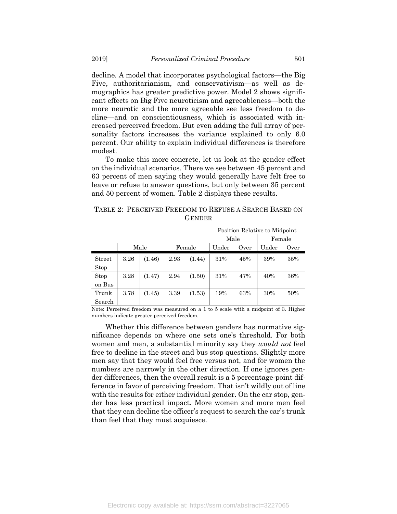decline. A model that incorporates psychological factors—the Big Five, authoritarianism, and conservativism—as well as demographics has greater predictive power. Model 2 shows significant effects on Big Five neuroticism and agreeableness—both the more neurotic and the more agreeable see less freedom to decline—and on conscientiousness, which is associated with increased perceived freedom. But even adding the full array of personality factors increases the variance explained to only 6.0 percent. Our ability to explain individual differences is therefore modest.

To make this more concrete, let us look at the gender effect on the individual scenarios. There we see between 45 percent and 63 percent of men saying they would generally have felt free to leave or refuse to answer questions, but only between 35 percent and 50 percent of women. Table 2 displays these results.

# TABLE 2: PERCEIVED FREEDOM TO REFUSE A SEARCH BASED ON **GENDER**

|                 |      |        | Position Relative to Midpoint |        |     |      |       |      |  |  |
|-----------------|------|--------|-------------------------------|--------|-----|------|-------|------|--|--|
|                 |      |        |                               | Female |     |      |       |      |  |  |
|                 |      | Male   |                               | Female |     | Over | Under | Over |  |  |
| Street<br>Stop  | 3.26 | (1.46) | 2.93                          | (1.44) | 31% | 45%  | 39%   | 35%  |  |  |
| Stop<br>on Bus  | 3.28 | (1.47) | 2.94                          | (1.50) | 31% | 47%  | 40%   | 36%  |  |  |
| Trunk<br>Search | 3.78 | (1.45) | 3.39                          | (1.53) | 19% | 63%  | 30%   | 50%  |  |  |

Note: Perceived freedom was measured on a 1 to 5 scale with a midpoint of 3. Higher numbers indicate greater perceived freedom.

Whether this difference between genders has normative significance depends on where one sets one's threshold. For both women and men, a substantial minority say they *would not* feel free to decline in the street and bus stop questions. Slightly more men say that they would feel free versus not, and for women the numbers are narrowly in the other direction. If one ignores gender differences, then the overall result is a 5 percentage-point difference in favor of perceiving freedom. That isn't wildly out of line with the results for either individual gender. On the car stop, gender has less practical impact. More women and more men feel that they can decline the officer's request to search the car's trunk than feel that they must acquiesce.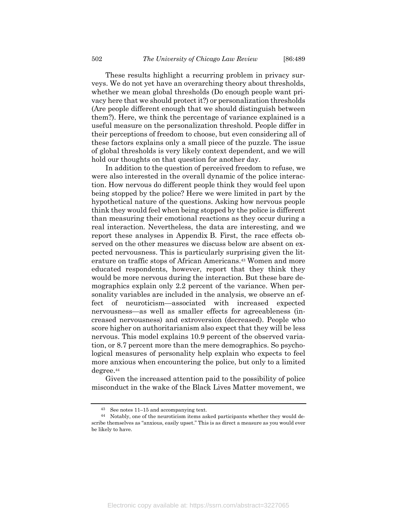These results highlight a recurring problem in privacy surveys. We do not yet have an overarching theory about thresholds, whether we mean global thresholds (Do enough people want privacy here that we should protect it?) or personalization thresholds (Are people different enough that we should distinguish between them?). Here, we think the percentage of variance explained is a useful measure on the personalization threshold. People differ in their perceptions of freedom to choose, but even considering all of these factors explains only a small piece of the puzzle. The issue of global thresholds is very likely context dependent, and we will hold our thoughts on that question for another day.

In addition to the question of perceived freedom to refuse, we were also interested in the overall dynamic of the police interaction. How nervous do different people think they would feel upon being stopped by the police? Here we were limited in part by the hypothetical nature of the questions. Asking how nervous people think they would feel when being stopped by the police is different than measuring their emotional reactions as they occur during a real interaction. Nevertheless, the data are interesting, and we report these analyses in Appendix B. First, the race effects observed on the other measures we discuss below are absent on expected nervousness. This is particularly surprising given the literature on traffic stops of African Americans.<sup>43</sup> Women and more educated respondents, however, report that they think they would be more nervous during the interaction. But these bare demographics explain only 2.2 percent of the variance. When personality variables are included in the analysis, we observe an effect of neuroticism—associated with increased expected nervousness—as well as smaller effects for agreeableness (increased nervousness) and extroversion (decreased). People who score higher on authoritarianism also expect that they will be less nervous. This model explains 10.9 percent of the observed variation, or 8.7 percent more than the mere demographics. So psychological measures of personality help explain who expects to feel more anxious when encountering the police, but only to a limited degree.<sup>44</sup>

Given the increased attention paid to the possibility of police misconduct in the wake of the Black Lives Matter movement, we

See notes 11–15 and accompanying text.

<sup>44</sup> Notably, one of the neuroticism items asked participants whether they would describe themselves as "anxious, easily upset." This is as direct a measure as you would ever be likely to have.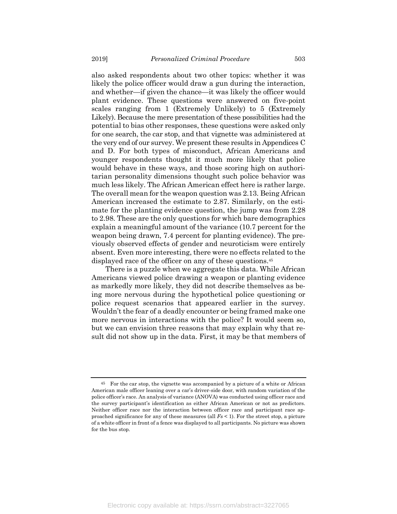also asked respondents about two other topics: whether it was likely the police officer would draw a gun during the interaction, and whether—if given the chance—it was likely the officer would plant evidence. These questions were answered on five-point scales ranging from 1 (Extremely Unlikely) to 5 (Extremely Likely). Because the mere presentation of these possibilities had the potential to bias other responses, these questions were asked only for one search, the car stop, and that vignette was administered at the very end of our survey. We present these results in Appendices C and D. For both types of misconduct, African Americans and younger respondents thought it much more likely that police would behave in these ways, and those scoring high on authoritarian personality dimensions thought such police behavior was much less likely. The African American effect here is rather large. The overall mean for the weapon question was 2.13. Being African American increased the estimate to 2.87. Similarly, on the estimate for the planting evidence question, the jump was from 2.28 to 2.98. These are the only questions for which bare demographics explain a meaningful amount of the variance (10.7 percent for the weapon being drawn, 7.4 percent for planting evidence). The previously observed effects of gender and neuroticism were entirely absent. Even more interesting, there were no effects related to the displayed race of the officer on any of these questions.<sup>45</sup>

There is a puzzle when we aggregate this data. While African Americans viewed police drawing a weapon or planting evidence as markedly more likely, they did not describe themselves as being more nervous during the hypothetical police questioning or police request scenarios that appeared earlier in the survey. Wouldn't the fear of a deadly encounter or being framed make one more nervous in interactions with the police? It would seem so, but we can envision three reasons that may explain why that result did not show up in the data. First, it may be that members of

<sup>45</sup> For the car stop, the vignette was accompanied by a picture of a white or African American male officer leaning over a car's driver-side door, with random variation of the police officer's race. An analysis of variance (ANOVA) was conducted using officer race and the survey participant's identification as either African American or not as predictors. Neither officer race nor the interaction between officer race and participant race approached significance for any of these measures (all *Fs* < 1). For the street stop, a picture of a white officer in front of a fence was displayed to all participants. No picture was shown for the bus stop.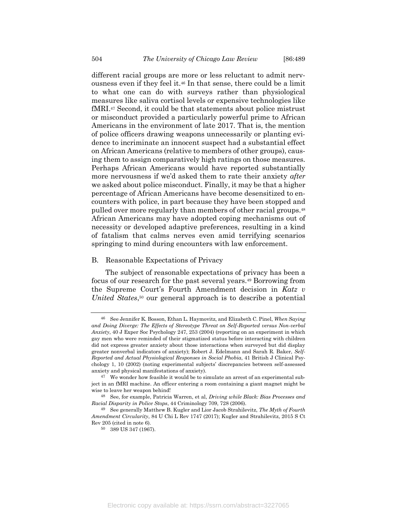different racial groups are more or less reluctant to admit nervousness even if they feel it.<sup>46</sup> In that sense, there could be a limit to what one can do with surveys rather than physiological measures like saliva cortisol levels or expensive technologies like fMRI.<sup>47</sup> Second, it could be that statements about police mistrust or misconduct provided a particularly powerful prime to African Americans in the environment of late 2017. That is, the mention of police officers drawing weapons unnecessarily or planting evidence to incriminate an innocent suspect had a substantial effect on African Americans (relative to members of other groups), causing them to assign comparatively high ratings on those measures. Perhaps African Americans would have reported substantially more nervousness if we'd asked them to rate their anxiety *after* we asked about police misconduct. Finally, it may be that a higher percentage of African Americans have become desensitized to encounters with police, in part because they have been stopped and pulled over more regularly than members of other racial groups.<sup>48</sup> African Americans may have adopted coping mechanisms out of necessity or developed adaptive preferences, resulting in a kind of fatalism that calms nerves even amid terrifying scenarios springing to mind during encounters with law enforcement.

#### B. Reasonable Expectations of Privacy

The subject of reasonable expectations of privacy has been a focus of our research for the past several years.<sup>49</sup> Borrowing from the Supreme Court's Fourth Amendment decision in *Katz v United States*, <sup>50</sup> our general approach is to describe a potential

<sup>46</sup> See Jennifer K. Bosson, Ethan L. Haymovitz, and Elizabeth C. Pinel, *When Saying and Doing Diverge: The Effects of Stereotype Threat on Self-Reported versus Non-verbal Anxiety*, 40 J Exper Soc Psychology 247, 253 (2004) (reporting on an experiment in which gay men who were reminded of their stigmatized status before interacting with children did not express greater anxiety about those interactions when surveyed but did display greater nonverbal indicators of anxiety); Robert J. Edelmann and Sarah R. Baker, *Self-Reported and Actual Physiological Responses in Social Phobia*, 41 British J Clinical Psychology 1, 10 (2002) (noting experimental subjects' discrepancies between self-assessed anxiety and physical manifestations of anxiety).

<sup>47</sup> We wonder how feasible it would be to simulate an arrest of an experimental subject in an fMRI machine. An officer entering a room containing a giant magnet might be wise to leave her weapon behind!

<sup>48</sup> See, for example, Patricia Warren, et al, *Driving while Black: Bias Processes and Racial Disparity in Police Stops*, 44 Criminology 709, 728 (2006).

<sup>49</sup> See generally Matthew B. Kugler and Lior Jacob Strahilevitz, *The Myth of Fourth Amendment Circularity*, 84 U Chi L Rev 1747 (2017); Kugler and Strahilevitz, 2015 S Ct Rev 205 (cited in note 6).

<sup>50</sup> 389 US 347 (1967).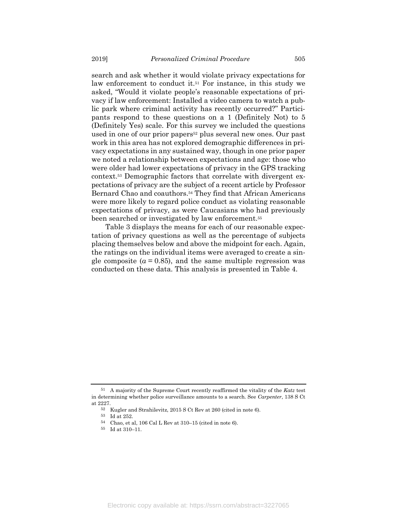search and ask whether it would violate privacy expectations for law enforcement to conduct it.<sup>51</sup> For instance, in this study we asked, "Would it violate people's reasonable expectations of privacy if law enforcement: Installed a video camera to watch a public park where criminal activity has recently occurred?" Participants respond to these questions on a 1 (Definitely Not) to 5 (Definitely Yes) scale. For this survey we included the questions used in one of our prior papers<sup>52</sup> plus several new ones. Our past work in this area has not explored demographic differences in privacy expectations in any sustained way, though in one prior paper we noted a relationship between expectations and age: those who were older had lower expectations of privacy in the GPS tracking context.<sup>53</sup> Demographic factors that correlate with divergent expectations of privacy are the subject of a recent article by Professor Bernard Chao and coauthors.<sup>54</sup> They find that African Americans were more likely to regard police conduct as violating reasonable expectations of privacy, as were Caucasians who had previously been searched or investigated by law enforcement.<sup>55</sup>

Table 3 displays the means for each of our reasonable expectation of privacy questions as well as the percentage of subjects placing themselves below and above the midpoint for each. Again, the ratings on the individual items were averaged to create a single composite  $(a = 0.85)$ , and the same multiple regression was conducted on these data. This analysis is presented in Table 4.

<sup>51</sup> A majority of the Supreme Court recently reaffirmed the vitality of the *Katz* test in determining whether police surveillance amounts to a search. See *Carpenter*, 138 S Ct at 2227.

<sup>52</sup> Kugler and Strahilevitz, 2015 S Ct Rev at 260 (cited in note 6).

<sup>53</sup> Id at 252.

<sup>54</sup> Chao, et al, 106 Cal L Rev at 310–15 (cited in note 6).

<sup>55</sup> Id at 310–11.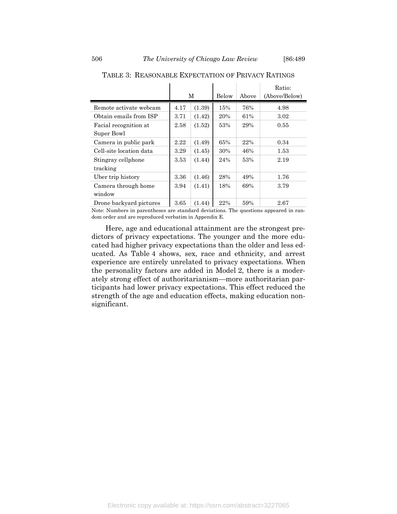|                         | М    |        | Below |     | Ratio:<br>(Above/Below) |
|-------------------------|------|--------|-------|-----|-------------------------|
| Remote activate webcam  | 4.17 | (1.39) | 15%   | 76% | 4.98                    |
| Obtain emails from ISP  | 3.71 | (1.42) | 20%   | 61% | 3.02                    |
| Facial recognition at   | 2.58 | (1.52) | 53%   | 29% | 0.55                    |
| Super Bowl              |      |        |       |     |                         |
| Camera in public park   | 2.22 | (1.49) | 65%   | 22% | 0.34                    |
| Cell-site location data | 3.29 | (1.45) | 30%   | 46% | 1.53                    |
| Stingray cellphone      | 3.53 | (1.44) | 24%   | 53% | 2.19                    |
| tracking                |      |        |       |     |                         |
| Uber trip history       | 3.36 | (1.46) | 28%   | 49% | 1.76                    |
| Camera through home     | 3.94 | (1.41) | 18%   | 69% | 3.79                    |
| window                  |      |        |       |     |                         |
| Drone backyard pictures | 3.65 | (1.44) | 22%   | 59% | 2.67                    |

TABLE 3: REASONABLE EXPECTATION OF PRIVACY RATINGS

Note: Numbers in parentheses are standard deviations. The questions appeared in random order and are reproduced verbatim in Appendix E.

Here, age and educational attainment are the strongest predictors of privacy expectations. The younger and the more educated had higher privacy expectations than the older and less educated. As Table 4 shows, sex, race and ethnicity, and arrest experience are entirely unrelated to privacy expectations. When the personality factors are added in Model 2, there is a moderately strong effect of authoritarianism—more authoritarian participants had lower privacy expectations. This effect reduced the strength of the age and education effects, making education nonsignificant.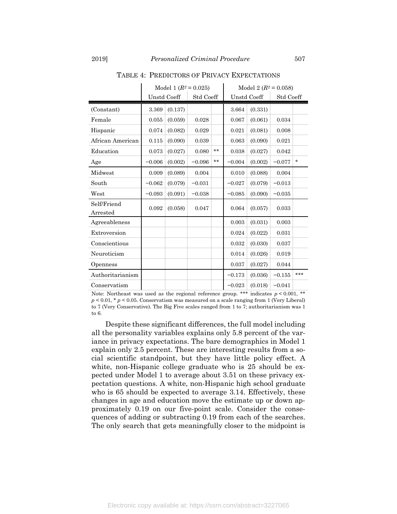|                                          |             |         | Model 1 $(R^2 = 0.025)$ | Model 2 $(R^2 = 0.058)$ |          |             |           |         |
|------------------------------------------|-------------|---------|-------------------------|-------------------------|----------|-------------|-----------|---------|
|                                          | Unstd Coeff |         | Std Coeff               |                         |          | Unstd Coeff | Std Coeff |         |
| (Constant)                               | 3.369       | (0.137) |                         |                         | 3.664    | (0.331)     |           |         |
| Female                                   | 0.055       | (0.059) | 0.028                   |                         | 0.067    | (0.061)     | 0.034     |         |
| Hispanic                                 | 0.074       | (0.082) | 0.029                   |                         | 0.021    | (0.081)     | 0.008     |         |
| African American                         | 0.115       | (0.090) | 0.039                   |                         | 0.063    | (0.090)     | 0.021     |         |
| Education                                | 0.073       | (0.027) | 0.080                   | $***$                   | 0.038    | (0.027)     | 0.042     |         |
| Age                                      | $-0.006$    | (0.002) | $-0.096$                | $***$                   | $-0.004$ | (0.002)     | $-0.077$  | $\star$ |
| Midwest                                  | 0.009       | (0.089) | 0.004                   |                         | 0.010    | (0.088)     | 0.004     |         |
| South                                    | $-0.062$    | (0.079) | $-0.031$                |                         | $-0.027$ | (0.079)     | $-0.013$  |         |
| West                                     | $-0.093$    | (0.091) | $-0.038$                |                         | $-0.085$ | (0.090)     | $-0.035$  |         |
| Self/Friend<br>$\operatorname{Arrested}$ | 0.092       | (0.058) | 0.047                   |                         | 0.064    | (0.057)     | 0.033     |         |
| Agreeableness                            |             |         |                         |                         | 0.003    | (0.031)     | 0.003     |         |
| Extroversion                             |             |         |                         |                         | 0.024    | (0.022)     | 0.031     |         |
| Conscientious                            |             |         |                         |                         | 0.032    | (0.030)     | 0.037     |         |
| Neuroticism                              |             |         |                         |                         | 0.014    | (0.026)     | 0.019     |         |
| Openness                                 |             |         |                         |                         | 0.037    | (0.027)     | 0.044     |         |
| Authoritarianism                         |             |         |                         |                         | $-0.173$ | (0.036)     | $-0.155$  | ***     |
| Conservatism                             |             |         |                         |                         | $-0.023$ | (0.018)     | $-0.041$  |         |

TABLE 4: PREDICTORS OF PRIVACY EXPECTATIONS

Note: Northeast was used as the regional reference group. \*\*\* indicates  $p < 0.001$ , \*\*  $p < 0.01$ , \*  $p < 0.05$ . Conservatism was measured on a scale ranging from 1 (Very Liberal) to 7 (Very Conservative). The Big Five scales ranged from 1 to 7; authoritarianism was 1 to 6.

Despite these significant differences, the full model including all the personality variables explains only 5.8 percent of the variance in privacy expectations. The bare demographics in Model 1 explain only 2.5 percent. These are interesting results from a social scientific standpoint, but they have little policy effect. A white, non-Hispanic college graduate who is 25 should be expected under Model 1 to average about 3.51 on these privacy expectation questions. A white, non-Hispanic high school graduate who is 65 should be expected to average 3.14. Effectively, these changes in age and education move the estimate up or down approximately 0.19 on our five-point scale. Consider the consequences of adding or subtracting 0.19 from each of the searches. The only search that gets meaningfully closer to the midpoint is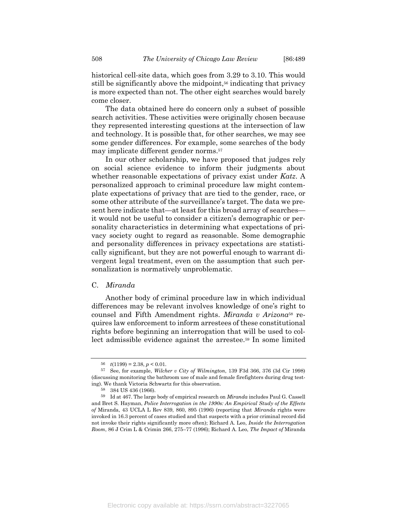historical cell-site data, which goes from 3.29 to 3.10. This would still be significantly above the midpoint,<sup>56</sup> indicating that privacy is more expected than not. The other eight searches would barely come closer.

The data obtained here do concern only a subset of possible search activities. These activities were originally chosen because they represented interesting questions at the intersection of law and technology. It is possible that, for other searches, we may see some gender differences. For example, some searches of the body may implicate different gender norms.<sup>57</sup>

In our other scholarship, we have proposed that judges rely on social science evidence to inform their judgments about whether reasonable expectations of privacy exist under *Katz*. A personalized approach to criminal procedure law might contemplate expectations of privacy that are tied to the gender, race, or some other attribute of the surveillance's target. The data we present here indicate that—at least for this broad array of searches it would not be useful to consider a citizen's demographic or personality characteristics in determining what expectations of privacy society ought to regard as reasonable. Some demographic and personality differences in privacy expectations are statistically significant, but they are not powerful enough to warrant divergent legal treatment, even on the assumption that such personalization is normatively unproblematic.

# C. *Miranda*

Another body of criminal procedure law in which individual differences may be relevant involves knowledge of one's right to counsel and Fifth Amendment rights. *Miranda v Arizona*<sup>58</sup> requires law enforcement to inform arrestees of these constitutional rights before beginning an interrogation that will be used to collect admissible evidence against the arrestee.<sup>59</sup> In some limited

<sup>56</sup>  $t(1199) = 2.38, p < 0.01$ .

<sup>57</sup> See, for example, *Wilcher v City of Wilmington*, 139 F3d 366, 376 (3d Cir 1998) (discussing monitoring the bathroom use of male and female firefighters during drug testing). We thank Victoria Schwartz for this observation.

<sup>58</sup> 384 US 436 (1966).

<sup>59</sup> Id at 467. The large body of empirical research on *Miranda* includes Paul G. Cassell and Bret S. Hayman, *Police Interrogation in the 1990s: An Empirical Study of the Effects of* Miranda, 43 UCLA L Rev 839, 860, 895 (1996) (reporting that *Miranda* rights were invoked in 16.3 percent of cases studied and that suspects with a prior criminal record did not invoke their rights significantly more often); Richard A. Leo, *Inside the Interrogation Room*, 86 J Crim L & Crimin 266, 275–77 (1996); Richard A. Leo, *The Impact of* Miranda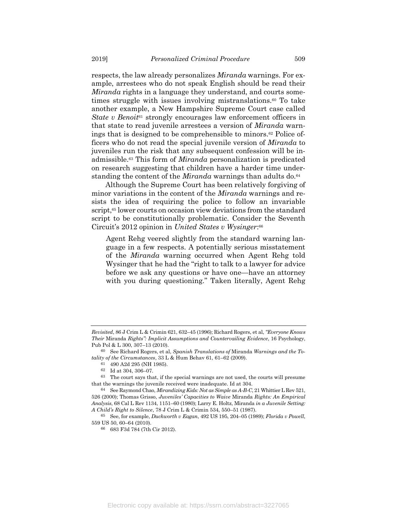respects, the law already personalizes *Miranda* warnings. For example, arrestees who do not speak English should be read their *Miranda* rights in a language they understand, and courts sometimes struggle with issues involving mistranslations.<sup>60</sup> To take another example, a New Hampshire Supreme Court case called *State v Benoit*<sup>61</sup> strongly encourages law enforcement officers in that state to read juvenile arrestees a version of *Miranda* warnings that is designed to be comprehensible to minors.<sup>62</sup> Police officers who do not read the special juvenile version of *Miranda* to juveniles run the risk that any subsequent confession will be inadmissible.<sup>63</sup> This form of *Miranda* personalization is predicated on research suggesting that children have a harder time understanding the content of the *Miranda* warnings than adults do.<sup>64</sup>

Although the Supreme Court has been relatively forgiving of minor variations in the content of the *Miranda* warnings and resists the idea of requiring the police to follow an invariable script,<sup>65</sup> lower courts on occasion view deviations from the standard script to be constitutionally problematic. Consider the Seventh Circuit's 2012 opinion in *United States v Wysinger*: 66

Agent Rehg veered slightly from the standard warning language in a few respects. A potentially serious misstatement of the *Miranda* warning occurred when Agent Rehg told Wysinger that he had the "right to talk to a lawyer for advice before we ask any questions or have one—have an attorney with you during questioning." Taken literally, Agent Rehg

*Revisited*, 86 J Crim L & Crimin 621, 632–45 (1996); Richard Rogers, et al, *"Everyone Knows Their* Miranda *Rights": Implicit Assumptions and Countervailing Evidence*, 16 Psychology, Pub Pol & L 300, 307–13 (2010).

<sup>60</sup> See Richard Rogers, et al, *Spanish Translations of* Miranda *Warnings and the Totality of the Circumstances*, 33 L & Hum Behav 61, 61–62 (2009).

<sup>61</sup> 490 A2d 295 (NH 1985).

<sup>62</sup> Id at 304, 306–07.

<sup>63</sup> The court says that, if the special warnings are not used, the courts will presume that the warnings the juvenile received were inadequate. Id at 304.

<sup>64</sup> See Raymond Chao, *Mirandizing Kids: Not as Simple as A-B-C*, 21 Whittier L Rev 521, 526 (2000); Thomas Grisso, *Juveniles' Capacities to Waive* Miranda *Rights: An Empirical Analysis*, 68 Cal L Rev 1134, 1151–60 (1980); Larry E. Holtz, Miranda *in a Juvenile Setting: A Child's Right to Silence*, 78 J Crim L & Crimin 534, 550–51 (1987).

<sup>65</sup> See, for example, *Duckworth v Eagan*, 492 US 195, 204–05 (1989); *Florida v Powell*, 559 US 50, 60–64 (2010).

<sup>66</sup> 683 F3d 784 (7th Cir 2012).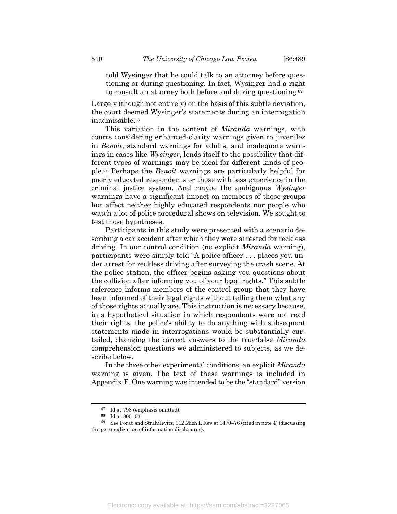told Wysinger that he could talk to an attorney before questioning or during questioning. In fact, Wysinger had a right to consult an attorney both before and during questioning.<sup>67</sup>

Largely (though not entirely) on the basis of this subtle deviation, the court deemed Wysinger's statements during an interrogation inadmissible.<sup>68</sup>

This variation in the content of *Miranda* warnings, with courts considering enhanced-clarity warnings given to juveniles in *Benoit*, standard warnings for adults, and inadequate warnings in cases like *Wysinger*, lends itself to the possibility that different types of warnings may be ideal for different kinds of people.<sup>69</sup> Perhaps the *Benoit* warnings are particularly helpful for poorly educated respondents or those with less experience in the criminal justice system. And maybe the ambiguous *Wysinger* warnings have a significant impact on members of those groups but affect neither highly educated respondents nor people who watch a lot of police procedural shows on television. We sought to test those hypotheses.

Participants in this study were presented with a scenario describing a car accident after which they were arrested for reckless driving. In our control condition (no explicit *Miranda* warning), participants were simply told "A police officer . . . places you under arrest for reckless driving after surveying the crash scene. At the police station, the officer begins asking you questions about the collision after informing you of your legal rights." This subtle reference informs members of the control group that they have been informed of their legal rights without telling them what any of those rights actually are. This instruction is necessary because, in a hypothetical situation in which respondents were not read their rights, the police's ability to do anything with subsequent statements made in interrogations would be substantially curtailed, changing the correct answers to the true/false *Miranda* comprehension questions we administered to subjects, as we describe below.

In the three other experimental conditions, an explicit *Miranda* warning is given. The text of these warnings is included in Appendix F. One warning was intended to be the "standard" version

<sup>67</sup> Id at 798 (emphasis omitted).

<sup>68</sup> Id at 800–03.

<sup>69</sup> See Porat and Strahilevitz, 112 Mich L Rev at 1470–76 (cited in note 4) (discussing the personalization of information disclosures).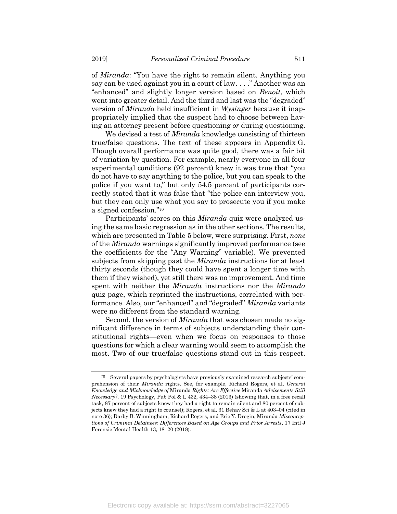of *Miranda*: "You have the right to remain silent. Anything you say can be used against you in a court of law. . . ." Another was an "enhanced" and slightly longer version based on *Benoit*, which went into greater detail. And the third and last was the "degraded" version of *Miranda* held insufficient in *Wysinger* because it inappropriately implied that the suspect had to choose between having an attorney present before questioning *or* during questioning.

We devised a test of *Miranda* knowledge consisting of thirteen true/false questions. The text of these appears in Appendix G. Though overall performance was quite good, there was a fair bit of variation by question. For example, nearly everyone in all four experimental conditions (92 percent) knew it was true that "you do not have to say anything to the police, but you can speak to the police if you want to," but only 54.5 percent of participants correctly stated that it was false that "the police can interview you, but they can only use what you say to prosecute you if you make a signed confession."<sup>70</sup>

Participants' scores on this *Miranda* quiz were analyzed using the same basic regression as in the other sections. The results, which are presented in Table 5 below, were surprising. First, *none* of the *Miranda* warnings significantly improved performance (see the coefficients for the "Any Warning" variable). We prevented subjects from skipping past the *Miranda* instructions for at least thirty seconds (though they could have spent a longer time with them if they wished), yet still there was no improvement. And time spent with neither the *Miranda* instructions nor the *Miranda* quiz page, which reprinted the instructions, correlated with performance. Also, our "enhanced" and "degraded" *Miranda* variants were no different from the standard warning.

Second, the version of *Miranda* that was chosen made no significant difference in terms of subjects understanding their constitutional rights—even when we focus on responses to those questions for which a clear warning would seem to accomplish the most. Two of our true/false questions stand out in this respect.

<sup>70</sup> Several papers by psychologists have previously examined research subjects' comprehension of their *Miranda* rights. See, for example, Richard Rogers, et al, *General Knowledge and Misknowledge of* Miranda *Rights: Are Effective* Miranda *Advisements Still Necessary?*, 19 Psychology, Pub Pol & L 432, 434–38 (2013) (showing that, in a free recall task, 87 percent of subjects knew they had a right to remain silent and 80 percent of subjects knew they had a right to counsel); Rogers, et al, 31 Behav Sci & L at 403–04 (cited in note 36); Darby B. Winningham, Richard Rogers, and Eric Y. Drogin, Miranda *Misconceptions of Criminal Detainees: Differences Based on Age Groups and Prior Arrests*, 17 Intl J Forensic Mental Health 13, 18–20 (2018).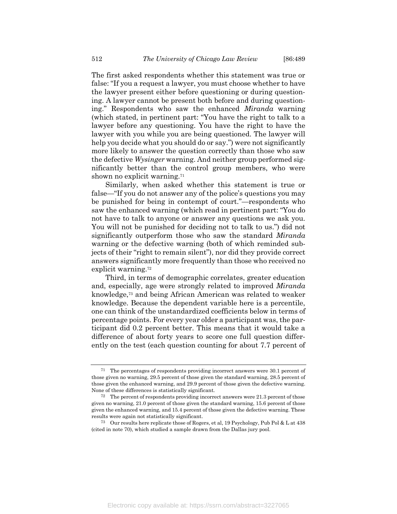The first asked respondents whether this statement was true or false: "If you a request a lawyer, you must choose whether to have the lawyer present either before questioning or during questioning. A lawyer cannot be present both before and during questioning." Respondents who saw the enhanced *Miranda* warning (which stated, in pertinent part: "You have the right to talk to a lawyer before any questioning. You have the right to have the lawyer with you while you are being questioned. The lawyer will help you decide what you should do or say.") were not significantly more likely to answer the question correctly than those who saw the defective *Wysinger* warning. And neither group performed significantly better than the control group members, who were shown no explicit warning.<sup>71</sup>

Similarly, when asked whether this statement is true or false—"If you do not answer any of the police's questions you may be punished for being in contempt of court."—respondents who saw the enhanced warning (which read in pertinent part: "You do not have to talk to anyone or answer any questions we ask you. You will not be punished for deciding not to talk to us.") did not significantly outperform those who saw the standard *Miranda* warning or the defective warning (both of which reminded subjects of their "right to remain silent"), nor did they provide correct answers significantly more frequently than those who received no explicit warning.<sup>72</sup>

Third, in terms of demographic correlates, greater education and, especially, age were strongly related to improved *Miranda* knowledge,<sup>73</sup> and being African American was related to weaker knowledge. Because the dependent variable here is a percentile, one can think of the unstandardized coefficients below in terms of percentage points. For every year older a participant was, the participant did 0.2 percent better. This means that it would take a difference of about forty years to score one full question differently on the test (each question counting for about 7.7 percent of

<sup>71</sup> The percentages of respondents providing incorrect answers were 30.1 percent of those given no warning, 29.5 percent of those given the standard warning, 28.5 percent of those given the enhanced warning, and 29.9 percent of those given the defective warning. None of these differences is statistically significant.

<sup>72</sup> The percent of respondents providing incorrect answers were 21.3 percent of those given no warning, 21.0 percent of those given the standard warning, 15.6 percent of those given the enhanced warning, and 15.4 percent of those given the defective warning. These results were again not statistically significant.

<sup>73</sup> Our results here replicate those of Rogers, et al, 19 Psychology, Pub Pol & L at 438 (cited in note 70), which studied a sample drawn from the Dallas jury pool.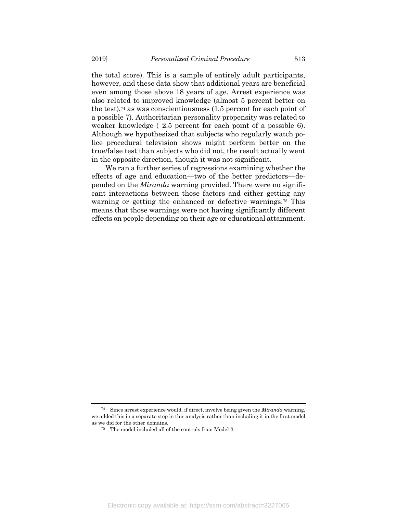the total score). This is a sample of entirely adult participants, however, and these data show that additional years are beneficial even among those above 18 years of age. Arrest experience was also related to improved knowledge (almost 5 percent better on the test), $\frac{74}{4}$  as was conscientiousness (1.5 percent for each point of a possible 7). Authoritarian personality propensity was related to weaker knowledge (−2.5 percent for each point of a possible 6). Although we hypothesized that subjects who regularly watch police procedural television shows might perform better on the true/false test than subjects who did not, the result actually went in the opposite direction, though it was not significant.

We ran a further series of regressions examining whether the effects of age and education—two of the better predictors—depended on the *Miranda* warning provided. There were no significant interactions between those factors and either getting any warning or getting the enhanced or defective warnings.<sup>75</sup> This means that those warnings were not having significantly different effects on people depending on their age or educational attainment.

<sup>74</sup> Since arrest experience would, if direct, involve being given the *Miranda* warning, we added this in a separate step in this analysis rather than including it in the first model as we did for the other domains.

<sup>75</sup> The model included all of the controls from Model 3.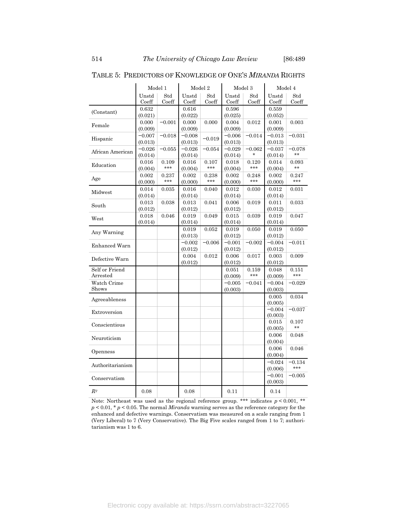|                           |                | Model 1      |                | Model 2<br>Model 3 |                |              |                | Model 4      |
|---------------------------|----------------|--------------|----------------|--------------------|----------------|--------------|----------------|--------------|
|                           | Unstd<br>Coeff | Std<br>Coeff | Unstd<br>Coeff | Std<br>Coeff       | Unstd<br>Coeff | Std<br>Coeff | Unstd<br>Coeff | Std<br>Coeff |
| (Constant)                | 0.632          |              | 0.616          |                    | 0.596          |              | 0.559          |              |
|                           | (0.021)        |              | (0.022)        |                    | (0.025)        |              | (0.052)        |              |
| Female                    | 0.000          | $-0.001$     | 0.000          | 0.000              | 0.004          | 0.012        | 0.001          | 0.003        |
|                           | (0.009)        |              | (0.009)        |                    | (0.009)        |              | (0.009)        |              |
| Hispanic                  | $-0.007$       | $-0.018$     | $-0.008$       | $-0.019$           | $-0.006$       | $-0.014$     | $-0.013$       | $-0.031$     |
|                           | (0.013)        |              | (0.013)        |                    | (0.013)        |              | (0.013)        |              |
| African American          | $-0.026$       | $-0.055$     | $-0.026$       | $-0.054$           | $-0.029$       | $-0.062$     | $-0.037$       | $-0.078$     |
|                           | (0.014)        |              | (0.014)        |                    | (0.014)        | $\star$      | (0.014)        | **           |
|                           | 0.016          | 0.109        | 0.016          | 0.107              | 0.018          | 0.120        | 0.014          | 0.093        |
| Education                 | (0.004)        | ***          | (0.004)        | ***                | (0.004)        | ***          | (0.004)        | **           |
|                           | 0.002          | 0.237        | 0.002          | 0.238              | 0.002          | 0.248        | 0.002          | 0.247        |
| Age                       | (0.000)        | ***          | (0.000)        | ***                | (0.000)        | ***          | (0.000)        | ***          |
|                           | 0.014          | 0.035        | 0.016          | 0.040              | 0.012          | 0.030        | 0.012          | 0.031        |
| Midwest                   | (0.014)        |              | (0.014)        |                    | (0.014)        |              | (0.014)        |              |
|                           | 0.013          | 0.038        | 0.013          | 0.041              | 0.006          | 0.019        | 0.011          | 0.033        |
| South                     | (0.012)        |              | (0.012)        |                    | (0.012)        |              | (0.012)        |              |
|                           | 0.018          | 0.046        | 0.019          | 0.049              | 0.015          | 0.039        | 0.019          | 0.047        |
| West                      | (0.014)        |              | (0.014)        |                    | (0.014)        |              | (0.014)        |              |
|                           |                |              |                |                    |                |              |                |              |
| Any Warning               |                |              | 0.019          | 0.052              | 0.019          | 0.050        | 0.019          | 0.050        |
|                           |                |              | (0.013)        |                    | (0.012)        |              | (0.012)        |              |
| Enhanced Warn             |                |              | $-0.002$       | $-0.006$           | $-0.001$       | $-0.002$     | $-0.004$       | $-0.011$     |
|                           |                |              | (0.012)        |                    | (0.012)        |              | (0.012)        |              |
| Defective Warn            |                |              | 0.004          | $\rm 0.012$        | 0.006          | 0.017        | 0.003          | 0.009        |
|                           |                |              | (0.012)        |                    | (0.012)        |              | (0.012)        |              |
| Self or Friend            |                |              |                |                    | 0.051          | 0.159        | 0.048          | 0.151        |
| $\operatorname{Arrested}$ |                |              |                |                    | (0.009)        | ***          | (0.009)        | ***          |
| Watch Crime               |                |              |                |                    | $-0.005$       | $-0.041$     | $-0.004$       | $-0.029$     |
| Shows                     |                |              |                |                    | (0.003)        |              | (0.003)        |              |
| Agreeableness             |                |              |                |                    |                |              | 0.005          | 0.034        |
|                           |                |              |                |                    |                |              | (0.005)        |              |
| Extroversion              |                |              |                |                    |                |              | $-0.004$       | $-0.037$     |
|                           |                |              |                |                    |                |              | (0.003)        |              |
| Conscientious             |                |              |                |                    |                |              | 0.015          | 0.107        |
|                           |                |              |                |                    |                |              | (0.005)        | **           |
| Neuroticism               |                |              |                |                    |                |              | 0.006          | 0.048        |
|                           |                |              |                |                    |                |              | (0.004)        |              |
|                           |                |              |                |                    |                |              | 0.006          | 0.046        |
| Openness                  |                |              |                |                    |                |              | (0.004)        |              |
|                           |                |              |                |                    |                |              | $-0.024$       | $-0.134$     |
| Authoritarianism          |                |              |                |                    |                |              | (0.006)        | ***          |
|                           |                |              |                |                    |                |              | $-0.001$       | $-0.005$     |
| Conservatism              |                |              |                |                    |                |              | (0.003)        |              |
|                           |                |              |                |                    |                |              |                |              |
| $R^2$                     | 0.08           |              | 0.08           |                    | 0.11           |              | 0.14           |              |

## TABLE 5: PREDICTORS OF KNOWLEDGE OF ONE'S *MIRANDA* RIGHTS

Note: Northeast was used as the regional reference group. \*\*\* indicates  $p \le 0.001$ , \*\* *p* < 0.01, \* *p* < 0.05. The normal *Miranda* warning serves as the reference category for the enhanced and defective warnings. Conservatism was measured on a scale ranging from 1 (Very Liberal) to 7 (Very Conservative). The Big Five scales ranged from 1 to 7; authoritarianism was 1 to 6.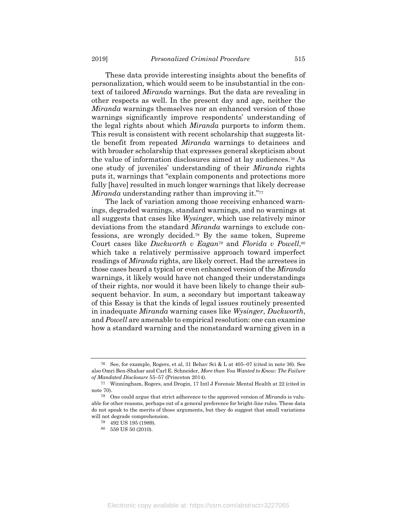These data provide interesting insights about the benefits of personalization, which would seem to be insubstantial in the context of tailored *Miranda* warnings. But the data are revealing in other respects as well. In the present day and age, neither the *Miranda* warnings themselves nor an enhanced version of those warnings significantly improve respondents' understanding of the legal rights about which *Miranda* purports to inform them. This result is consistent with recent scholarship that suggests little benefit from repeated *Miranda* warnings to detainees and with broader scholarship that expresses general skepticism about the value of information disclosures aimed at lay audiences.<sup>76</sup> As one study of juveniles' understanding of their *Miranda* rights puts it, warnings that "explain components and protections more fully [have] resulted in much longer warnings that likely decrease *Miranda* understanding rather than improving it."<sup>77</sup>

The lack of variation among those receiving enhanced warnings, degraded warnings, standard warnings, and no warnings at all suggests that cases like *Wysinger*, which use relatively minor deviations from the standard *Miranda* warnings to exclude confessions, are wrongly decided.<sup>78</sup> By the same token, Supreme Court cases like *Duckworth v Eagan*<sup>79</sup> and *Florida v Powell*, 80 which take a relatively permissive approach toward imperfect readings of *Miranda* rights, are likely correct. Had the arrestees in those cases heard a typical or even enhanced version of the *Miranda* warnings, it likely would have not changed their understandings of their rights, nor would it have been likely to change their subsequent behavior. In sum, a secondary but important takeaway of this Essay is that the kinds of legal issues routinely presented in inadequate *Miranda* warning cases like *Wysinger*, *Duckworth*, and *Powell* are amenable to empirical resolution: one can examine how a standard warning and the nonstandard warning given in a

<sup>76</sup> See, for example, Rogers, et al, 31 Behav Sci & L at 405–07 (cited in note 36). See also Omri Ben-Shahar and Carl E. Schneider, *More than You Wanted to Know: The Failure of Mandated Disclosure* 55–57 (Princeton 2014).

<sup>77</sup> Winningham, Rogers, and Drogin, 17 Intl J Forensic Mental Health at 22 (cited in note 70).

<sup>78</sup> One could argue that strict adherence to the approved version of *Miranda* is valuable for other reasons, perhaps out of a general preference for bright-line rules. These data do not speak to the merits of those arguments, but they do suggest that small variations will not degrade comprehension.

<sup>79</sup> 492 US 195 (1989).

 $^{80}\;$  559 US 50 (2010).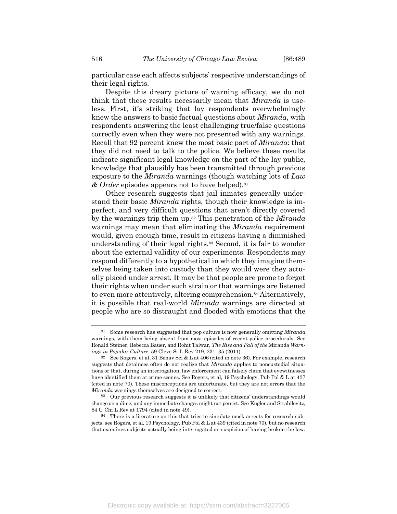particular case each affects subjects' respective understandings of their legal rights.

Despite this dreary picture of warning efficacy, we do not think that these results necessarily mean that *Miranda* is useless. First, it's striking that lay respondents overwhelmingly knew the answers to basic factual questions about *Miranda*, with respondents answering the least challenging true/false questions correctly even when they were not presented with any warnings. Recall that 92 percent knew the most basic part of *Miranda*: that they did not need to talk to the police. We believe these results indicate significant legal knowledge on the part of the lay public, knowledge that plausibly has been transmitted through previous exposure to the *Miranda* warnings (though watching lots of *Law & Order* episodes appears not to have helped).<sup>81</sup>

Other research suggests that jail inmates generally understand their basic *Miranda* rights, though their knowledge is imperfect, and very difficult questions that aren't directly covered by the warnings trip them up.<sup>82</sup> This penetration of the *Miranda* warnings may mean that eliminating the *Miranda* requirement would, given enough time, result in citizens having a diminished understanding of their legal rights.<sup>83</sup> Second, it is fair to wonder about the external validity of our experiments. Respondents may respond differently to a hypothetical in which they imagine themselves being taken into custody than they would were they actually placed under arrest. It may be that people are prone to forget their rights when under such strain or that warnings are listened to even more attentively, altering comprehension.<sup>84</sup> Alternatively, it is possible that real-world *Miranda* warnings are directed at people who are so distraught and flooded with emotions that the

Some research has suggested that pop culture is now generally omitting *Miranda* warnings, with them being absent from most episodes of recent police procedurals. See Ronald Steiner, Rebecca Bauer, and Rohit Talwar, *The Rise and Fall of the* Miranda *Warnings in Popular Culture*, 59 Cleve St L Rev 219, 231–35 (2011).

<sup>&</sup>lt;sup>82</sup> See Rogers, et al, 31 Behav Sci & L at  $406$  (cited in note 36). For example, research suggests that detainees often do not realize that *Miranda* applies to noncustodial situations or that, during an interrogation, law enforcement can falsely claim that eyewitnesses have identified them at crime scenes. See Rogers, et al, 19 Psychology, Pub Pol & L at 437 (cited in note 70). These misconceptions are unfortunate, but they are not errors that the *Miranda* warnings themselves are designed to correct.

<sup>83</sup> Our previous research suggests it is unlikely that citizens' understandings would change on a dime, and any immediate changes might not persist. See Kugler and Strahilevitz, 84 U Chi L Rev at 1794 (cited in note 49).

<sup>84</sup> There is a literature on this that tries to simulate mock arrests for research subjects, see Rogers, et al, 19 Psychology, Pub Pol & L at 439 (cited in note 70), but no research that examines subjects actually being interrogated on suspicion of having broken the law.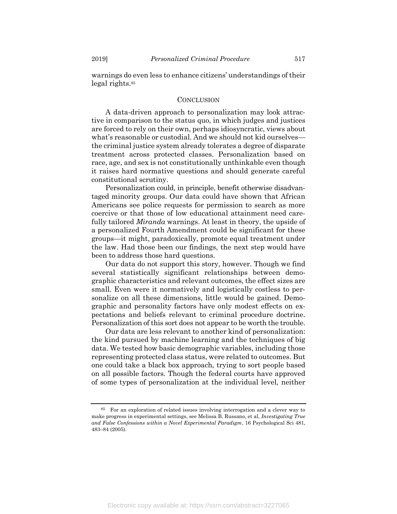warnings do even less to enhance citizens' understandings of their legal rights.<sup>85</sup>

#### **CONCLUSION**

A data-driven approach to personalization may look attractive in comparison to the status quo, in which judges and justices are forced to rely on their own, perhaps idiosyncratic, views about what's reasonable or custodial. And we should not kid ourselves the criminal justice system already tolerates a degree of disparate treatment across protected classes. Personalization based on race, age, and sex is not constitutionally unthinkable even though it raises hard normative questions and should generate careful constitutional scrutiny.

Personalization could, in principle, benefit otherwise disadvantaged minority groups. Our data could have shown that African Americans see police requests for permission to search as more coercive or that those of low educational attainment need carefully tailored *Miranda* warnings. At least in theory, the upside of a personalized Fourth Amendment could be significant for these groups—it might, paradoxically, promote equal treatment under the law. Had those been our findings, the next step would have been to address those hard questions.

Our data do not support this story, however. Though we find several statistically significant relationships between demographic characteristics and relevant outcomes, the effect sizes are small. Even were it normatively and logistically costless to personalize on all these dimensions, little would be gained. Demographic and personality factors have only modest effects on expectations and beliefs relevant to criminal procedure doctrine. Personalization of this sort does not appear to be worth the trouble.

Our data are less relevant to another kind of personalization: the kind pursued by machine learning and the techniques of big data. We tested how basic demographic variables, including those representing protected class status, were related to outcomes. But one could take a black box approach, trying to sort people based on all possible factors. Though the federal courts have approved of some types of personalization at the individual level, neither

<sup>85</sup> For an exploration of related issues involving interrogation and a clever way to make progress in experimental settings, see Melissa B. Russano, et al, *Investigating True and False Confessions within a Novel Experimental Paradigm*, 16 Psychological Sci 481, 483–84 (2005).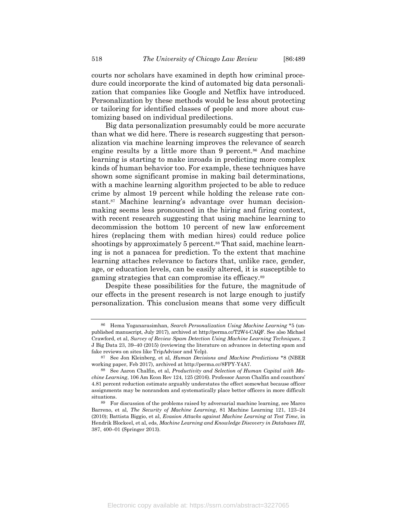zation that companies like Google and Netflix have introduced. Personalization by these methods would be less about protecting or tailoring for identified classes of people and more about customizing based on individual predilections.

Big data personalization presumably could be more accurate than what we did here. There is research suggesting that personalization via machine learning improves the relevance of search engine results by a little more than 9 percent.<sup>86</sup> And machine learning is starting to make inroads in predicting more complex kinds of human behavior too. For example, these techniques have shown some significant promise in making bail determinations, with a machine learning algorithm projected to be able to reduce crime by almost 19 percent while holding the release rate constant.<sup>87</sup> Machine learning's advantage over human decisionmaking seems less pronounced in the hiring and firing context, with recent research suggesting that using machine learning to decommission the bottom 10 percent of new law enforcement hires (replacing them with median hires) could reduce police shootings by approximately 5 percent.<sup>88</sup> That said, machine learning is not a panacea for prediction. To the extent that machine learning attaches relevance to factors that, unlike race, gender, age, or education levels, can be easily altered, it is susceptible to gaming strategies that can compromise its efficacy.<sup>89</sup>

Despite these possibilities for the future, the magnitude of our effects in the present research is not large enough to justify personalization. This conclusion means that some very difficult

<sup>86</sup> Hema Yoganarasimhan, *Search Personalization Using Machine Learning* \*5 (unpublished manuscript, July 2017), archived at http://perma.cc/T2W4-CAQF. See also Michael Crawford, et al, *Survey of Review Spam Detection Using Machine Learning Techniques*, 2 J Big Data 23, 39–40 (2015) (reviewing the literature on advances in detecting spam and fake reviews on sites like TripAdvisor and Yelp).

<sup>87</sup> See Jon Kleinberg, et al, *Human Decisions and Machine Predictions* \*8 (NBER working paper, Feb 2017), archived at http://perma.cc/8FPY-Y4A7.

<sup>88</sup> See Aaron Chalfin, et al, *Productivity and Selection of Human Capital with Machine Learning*, 106 Am Econ Rev 124, 125 (2016). Professor Aaron Chalfin and coauthors' 4.81 percent reduction estimate arguably understates the effect somewhat because officer assignments may be nonrandom and systematically place better officers in more difficult situations.

<sup>89</sup> For discussion of the problems raised by adversarial machine learning, see Marco Barreno, et al, *The Security of Machine Learning*, 81 Machine Learning 121, 123–24 (2010); Battista Biggio, et al, *Evasion Attacks against Machine Learning at Test Time*, in Hendrik Blockeel, et al, eds, *Machine Learning and Knowledge Discovery in Databases III*, 387, 400–01 (Springer 2013).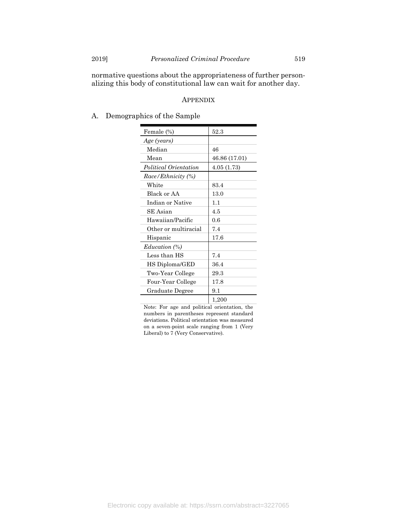normative questions about the appropriateness of further personalizing this body of constitutional law can wait for another day.

### APPENDIX

A. Demographics of the Sample

| Female (%)            | 52.3          |
|-----------------------|---------------|
| Age (years)           |               |
| Median                | 46            |
| Mean                  | 46.86 (17.01) |
| Political Orientation | 4.05(1.73)    |
| Race/Ethnicity (%)    |               |
| White                 | 83.4          |
| Black or AA           | 13.0          |
| Indian or Native      | 1.1           |
| SE Asian              | 4.5           |
| Hawaiian/Pacific      | 0.6           |
| Other or multiracial  | 7.4           |
| Hispanic              | 17.6          |
| Education (%)         |               |
| Less than HS          | 7.4           |
| HS Diploma/GED        | 36.4          |
| Two-Year College      | 29.3          |
| Four-Year College     | 17.8          |
| Graduate Degree       | 9.1           |
|                       | 1,200         |

Note: For age and political orientation, the numbers in parentheses represent standard deviations. Political orientation was measured on a seven-point scale ranging from 1 (Very Liberal) to 7 (Very Conservative).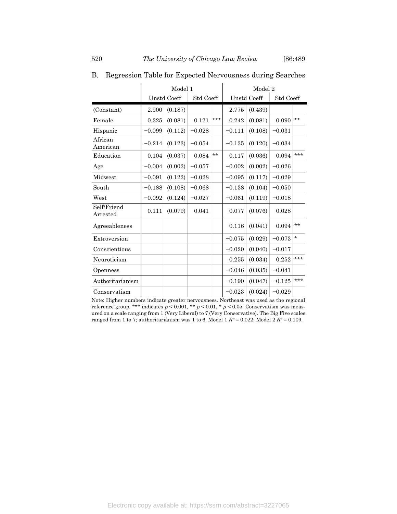$\mathbf{I}$ 

|                                          |          | Model 1            |           |       | Model 2  |                    |           |         |
|------------------------------------------|----------|--------------------|-----------|-------|----------|--------------------|-----------|---------|
|                                          |          | <b>Unstd Coeff</b> | Std Coeff |       |          | <b>Unstd Coeff</b> | Std Coeff |         |
| (Constant)                               | 2.900    | (0.187)            |           |       | 2.775    | (0.439)            |           |         |
| Female                                   | 0.325    | (0.081)            | 0.121     | ***   | 0.242    | (0.081)            | 0.090     | $**$    |
| Hispanic                                 | $-0.099$ | (0.112)            | $-0.028$  |       | $-0.111$ | (0.108)            | $-0.031$  |         |
| African<br>American                      | $-0.214$ | (0.123)            | $-0.054$  |       | $-0.135$ | (0.120)            | $-0.034$  |         |
| Education                                | 0.104    | (0.037)            | 0.084     | $***$ | 0.117    | (0.036)            | 0.094     | $***$   |
| Age                                      | $-0.004$ | (0.002)            | $-0.057$  |       | $-0.002$ | (0.002)            | $-0.026$  |         |
| Midwest                                  | $-0.091$ | (0.122)            | $-0.028$  |       | $-0.095$ | (0.117)            | $-0.029$  |         |
| South                                    | $-0.188$ | (0.108)            | $-0.068$  |       | $-0.138$ | (0.104)            | $-0.050$  |         |
| West                                     | $-0.092$ | (0.124)            | $-0.027$  |       | $-0.061$ | (0.119)            | $-0.018$  |         |
| Self/Friend<br>$\operatorname{Arrested}$ | 0.111    | (0.079)            | 0.041     |       | 0.077    | (0.076)            | 0.028     |         |
| Agreeableness                            |          |                    |           |       | 0.116    | (0.041)            | 0.094     | $**$    |
| Extroversion                             |          |                    |           |       | $-0.075$ | (0.029)            | $-0.073$  | $\star$ |
| Conscientious                            |          |                    |           |       | $-0.020$ | (0.040)            | $-0.017$  |         |
| Neuroticism                              |          |                    |           |       | 0.255    | (0.034)            | 0.252     | ***     |
| Openness                                 |          |                    |           |       | $-0.046$ | (0.035)            | $-0.041$  |         |
| Authoritarianism                         |          |                    |           |       | $-0.190$ | (0.047)            | $-0.125$  | ***     |
| Conservatism                             |          |                    |           |       | $-0.023$ | (0.024)            | $-0.029$  |         |

B. Regression Table for Expected Nervousness during Searches

Note: Higher numbers indicate greater nervousness. Northeast was used as the regional reference group. \*\*\* indicates  $p < 0.001,$  \*\*  $p < 0.01,$  \*  $p < 0.05.$  Conservatism was measured on a scale ranging from 1 (Very Liberal) to 7 (Very Conservative). The Big Five scales ranged from 1 to 7; authoritarianism was 1 to 6. Model 1  $R^2 = 0.022$ ; Model 2  $R^2 = 0.109$ .

 $\mathbf{I}$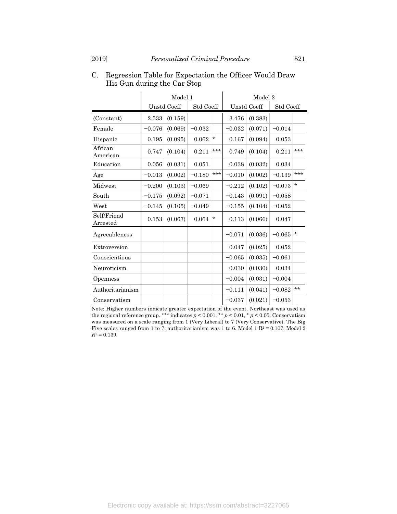|                                          | Model 1  |                    |           |          | Model 2            |         |           |         |
|------------------------------------------|----------|--------------------|-----------|----------|--------------------|---------|-----------|---------|
|                                          |          | <b>Unstd Coeff</b> | Std Coeff |          | <b>Unstd Coeff</b> |         | Std Coeff |         |
| (Constant)                               | 2.533    | (0.159)            |           |          | 3.476              | (0.383) |           |         |
| Female                                   | $-0.076$ | (0.069)            | $-0.032$  |          | $-0.032$           | (0.071) | $-0.014$  |         |
| Hispanic                                 | 0.195    | (0.095)            | 0.062     | $\star$  | 0.167              | (0.094) | 0.053     |         |
| African<br>American                      | 0.747    | (0.104)            | 0.211     | ***      | 0.749              | (0.104) | 0.211     | ***     |
| Education                                | 0.056    | (0.031)            | 0.051     |          | 0.038              | (0.032) | 0.034     |         |
| Age                                      | $-0.013$ | (0.002)            | $-0.180$  | ***      | $-0.010$           | (0.002) | $-0.139$  | ***     |
| Midwest                                  | $-0.200$ | (0.103)            | $-0.069$  |          | $-0.212$           | (0.102) | $-0.073$  | $\star$ |
| South                                    | $-0.175$ | (0.092)            | $-0.071$  |          | $-0.143$           | (0.091) | $-0.058$  |         |
| West                                     | $-0.145$ | (0.105)            | $-0.049$  |          | $-0.155$           | (0.104) | $-0.052$  |         |
| Self/Friend<br>$\operatorname{Arrested}$ | 0.153    | (0.067)            | 0.064     | $^\star$ | 0.113              | (0.066) | 0.047     |         |
| Agreeableness                            |          |                    |           |          | $-0.071$           | (0.036) | $-0.065$  | $\star$ |
| Extroversion                             |          |                    |           |          | 0.047              | (0.025) | 0.052     |         |
| Conscientious                            |          |                    |           |          | $-0.065$           | (0.035) | $-0.061$  |         |
| Neuroticism                              |          |                    |           |          | 0.030              | (0.030) | 0.034     |         |
| Openness                                 |          |                    |           |          | $-0.004$           | (0.031) | $-0.004$  |         |
| Authoritarianism                         |          |                    |           |          | $-0.111$           | (0.041) | $-0.082$  | $**$    |
| Conservatism                             |          |                    |           |          | $-0.037$           | (0.021) | $-0.053$  |         |

C. Regression Table for Expectation the Officer Would Draw His Gun during the Car Stop

Note: Higher numbers indicate greater expectation of the event. Northeast was used as the regional reference group. \*\*\* indicates  $p \leq 0.001,$  \*\*  $p \leq 0.01,$  \*  $p \leq 0.05.$  Conservatism was measured on a scale ranging from 1 (Very Liberal) to 7 (Very Conservative). The Big Five scales ranged from 1 to 7; authoritarianism was 1 to 6. Model 1 R<sup>2</sup> = 0.107; Model 2  $R^{\scriptscriptstyle 2}$   $\!=$  0.139.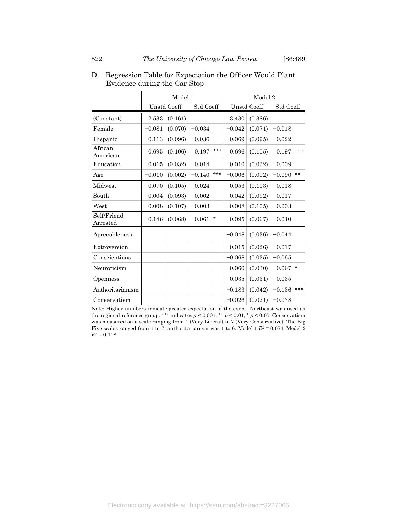|                                          |          | Model 1            |           | Model 2 |          |                    |           |         |
|------------------------------------------|----------|--------------------|-----------|---------|----------|--------------------|-----------|---------|
|                                          |          | <b>Unstd Coeff</b> | Std Coeff |         |          | <b>Unstd Coeff</b> | Std Coeff |         |
| (Constant)                               | 2.533    | (0.161)            |           |         | 3.430    | (0.386)            |           |         |
| Female                                   | $-0.081$ | (0.070)            | $-0.034$  |         | $-0.042$ | (0.071)            | $-0.018$  |         |
| Hispanic                                 | 0.113    | (0.096)            | 0.036     |         | 0.069    | (0.095)            | 0.022     |         |
| African<br>American                      | 0.695    | (0.106)            | 0.197     | $***$   | 0.696    | (0.105)            | 0.197     | ***     |
| Education                                | 0.015    | (0.032)            | 0.014     |         | $-0.010$ | (0.032)            | $-0.009$  |         |
| Age                                      | $-0.010$ | (0.002)            | $-0.140$  | $***$   | $-0.006$ | (0.002)            | $-0.090$  | $**$    |
| Midwest                                  | 0.070    | (0.105)            | 0.024     |         | 0.053    | (0.103)            | 0.018     |         |
| South                                    | 0.004    | (0.093)            | 0.002     |         | 0.042    | (0.092)            | 0.017     |         |
| West                                     | $-0.008$ | (0.107)            | $-0.003$  |         | $-0.008$ | (0.105)            | $-0.003$  |         |
| Self/Friend<br>$\operatorname{Arrested}$ | 0.146    | (0.068)            | 0.061     | $\star$ | 0.095    | (0.067)            | 0.040     |         |
| Agreeableness                            |          |                    |           |         | $-0.048$ | (0.036)            | $-0.044$  |         |
| Extroversion                             |          |                    |           |         | 0.015    | (0.026)            | 0.017     |         |
| Conscientious                            |          |                    |           |         | $-0.068$ | (0.035)            | $-0.065$  |         |
| Neuroticism                              |          |                    |           |         | 0.060    | (0.030)            | 0.067     | $\star$ |
| Openness                                 |          |                    |           |         | 0.035    | (0.031)            | 0.035     |         |
| Authoritarianism                         |          |                    |           |         | $-0.183$ | (0.042)            | $-0.136$  | $***$   |
| Conservatism                             |          |                    |           |         | $-0.026$ | (0.021)            | $-0.038$  |         |

D. Regression Table for Expectation the Officer Would Plant Evidence during the Car Stop

Note: Higher numbers indicate greater expectation of the event. Northeast was used as the regional reference group. \*\*\* indicates  $p \leq 0.001,$  \*\*  $p \leq 0.01,$  \*  $p \leq 0.05.$  Conservatism was measured on a scale ranging from 1 (Very Liberal) to 7 (Very Conservative). The Big Five scales ranged from 1 to 7; authoritarianism was 1 to 6. Model 1 *R<sup>2</sup>* = 0.074; Model 2  $R^{\scriptscriptstyle 2}$   $\!=$  0.118.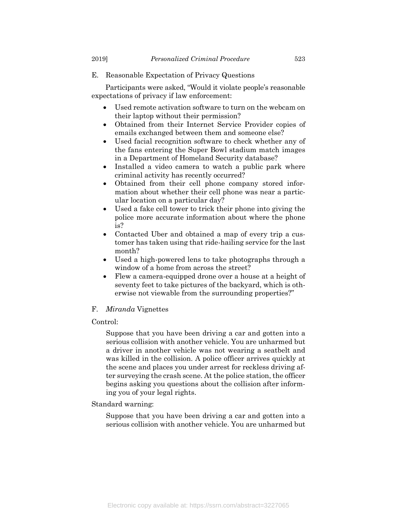- 
- E. Reasonable Expectation of Privacy Questions

Participants were asked, "Would it violate people's reasonable expectations of privacy if law enforcement:

- Used remote activation software to turn on the webcam on their laptop without their permission?
- Obtained from their Internet Service Provider copies of emails exchanged between them and someone else?
- Used facial recognition software to check whether any of the fans entering the Super Bowl stadium match images in a Department of Homeland Security database?
- Installed a video camera to watch a public park where criminal activity has recently occurred?
- Obtained from their cell phone company stored information about whether their cell phone was near a particular location on a particular day?
- Used a fake cell tower to trick their phone into giving the police more accurate information about where the phone is?
- Contacted Uber and obtained a map of every trip a customer has taken using that ride-hailing service for the last month?
- Used a high-powered lens to take photographs through a window of a home from across the street?
- Flew a camera-equipped drone over a house at a height of seventy feet to take pictures of the backyard, which is otherwise not viewable from the surrounding properties?"

### F. *Miranda* Vignettes

# Control:

Suppose that you have been driving a car and gotten into a serious collision with another vehicle. You are unharmed but a driver in another vehicle was not wearing a seatbelt and was killed in the collision. A police officer arrives quickly at the scene and places you under arrest for reckless driving after surveying the crash scene. At the police station, the officer begins asking you questions about the collision after informing you of your legal rights.

#### Standard warning:

Suppose that you have been driving a car and gotten into a serious collision with another vehicle. You are unharmed but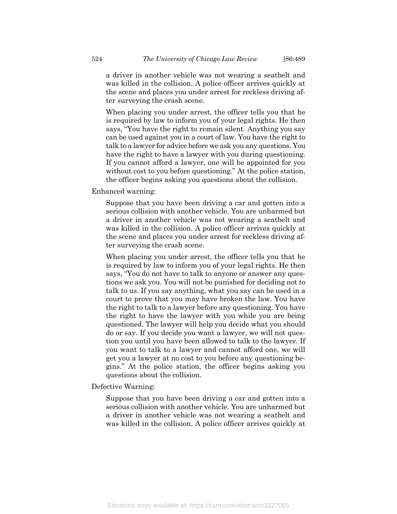a driver in another vehicle was not wearing a seatbelt and was killed in the collision. A police officer arrives quickly at the scene and places you under arrest for reckless driving after surveying the crash scene.

When placing you under arrest, the officer tells you that he is required by law to inform you of your legal rights. He then says, "You have the right to remain silent. Anything you say can be used against you in a court of law. You have the right to talk to a lawyer for advice before we ask you any questions. You have the right to have a lawyer with you during questioning. If you cannot afford a lawyer, one will be appointed for you without cost to you before questioning." At the police station, the officer begins asking you questions about the collision.

Enhanced warning:

Suppose that you have been driving a car and gotten into a serious collision with another vehicle. You are unharmed but a driver in another vehicle was not wearing a seatbelt and was killed in the collision. A police officer arrives quickly at the scene and places you under arrest for reckless driving after surveying the crash scene.

When placing you under arrest, the officer tells you that he is required by law to inform you of your legal rights. He then says, "You do not have to talk to anyone or answer any questions we ask you. You will not be punished for deciding not to talk to us. If you say anything, what you say can be used in a court to prove that you may have broken the law. You have the right to talk to a lawyer before any questioning. You have the right to have the lawyer with you while you are being questioned. The lawyer will help you decide what you should do or say. If you decide you want a lawyer, we will not question you until you have been allowed to talk to the lawyer. If you want to talk to a lawyer and cannot afford one, we will get you a lawyer at no cost to you before any questioning begins." At the police station, the officer begins asking you questions about the collision.

Defective Warning:

Suppose that you have been driving a car and gotten into a serious collision with another vehicle. You are unharmed but a driver in another vehicle was not wearing a seatbelt and was killed in the collision. A police officer arrives quickly at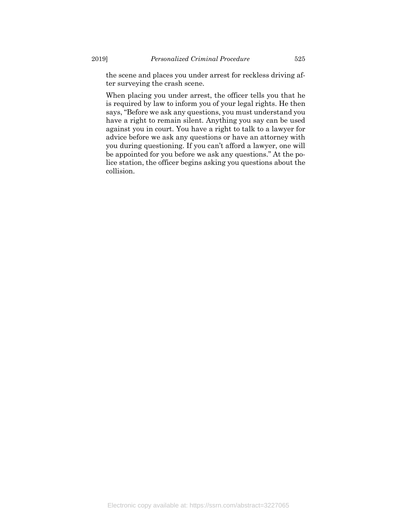the scene and places you under arrest for reckless driving after surveying the crash scene.

When placing you under arrest, the officer tells you that he is required by law to inform you of your legal rights. He then says, "Before we ask any questions, you must understand you have a right to remain silent. Anything you say can be used against you in court. You have a right to talk to a lawyer for advice before we ask any questions or have an attorney with you during questioning. If you can't afford a lawyer, one will be appointed for you before we ask any questions." At the police station, the officer begins asking you questions about the collision.